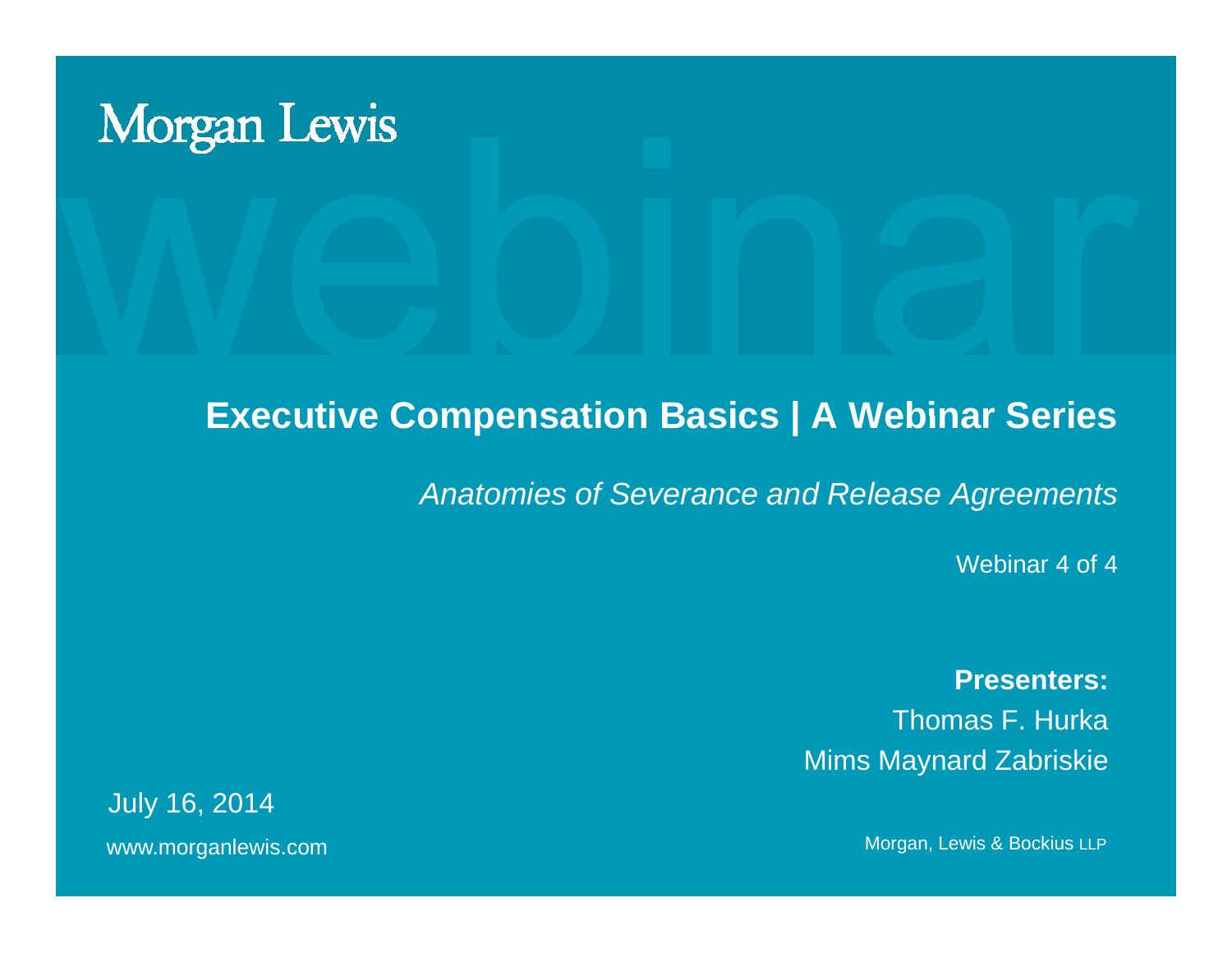# **Morgan Lewis**

#### **Executive Compensation Basics | A Webinar Series**

*Anatomies of Severance and Release Agreements* 

Webinar 4 of 4

**Presenters:**Thomas F. Hurka Mims Ma ynard Zabriskie

www.morganlewis.com and the matter of the matter of the matter of the Morgan, Lewis & Bockius LLP July 16, 2014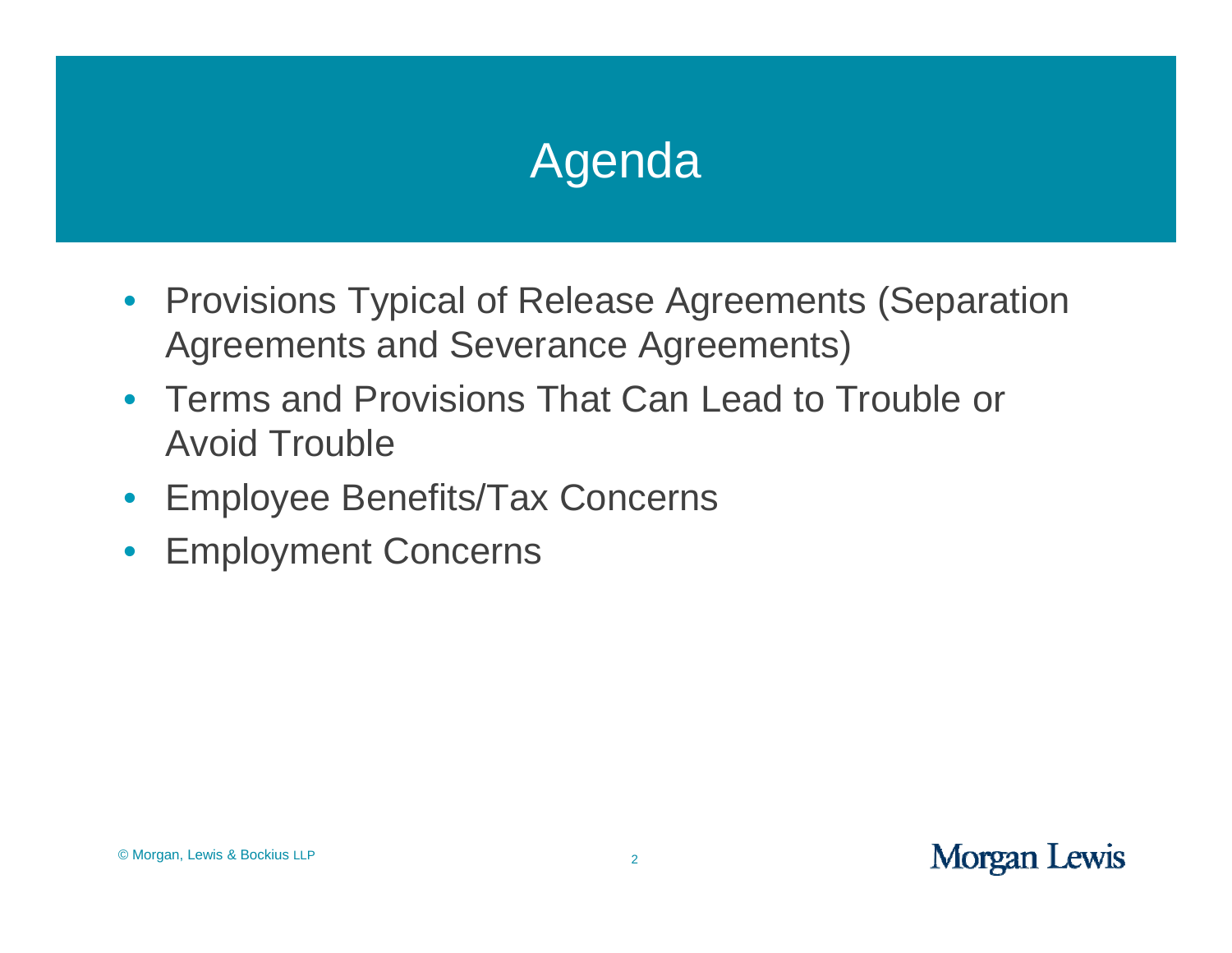## Agenda

- Provisions Typical of Release Agreements (Separation Agreements and Severance Agreements)
- Terms and Provisions That Can Lead to Trouble or Avoid Trouble
- Employee Benefits/Tax Concerns
- Employment Concerns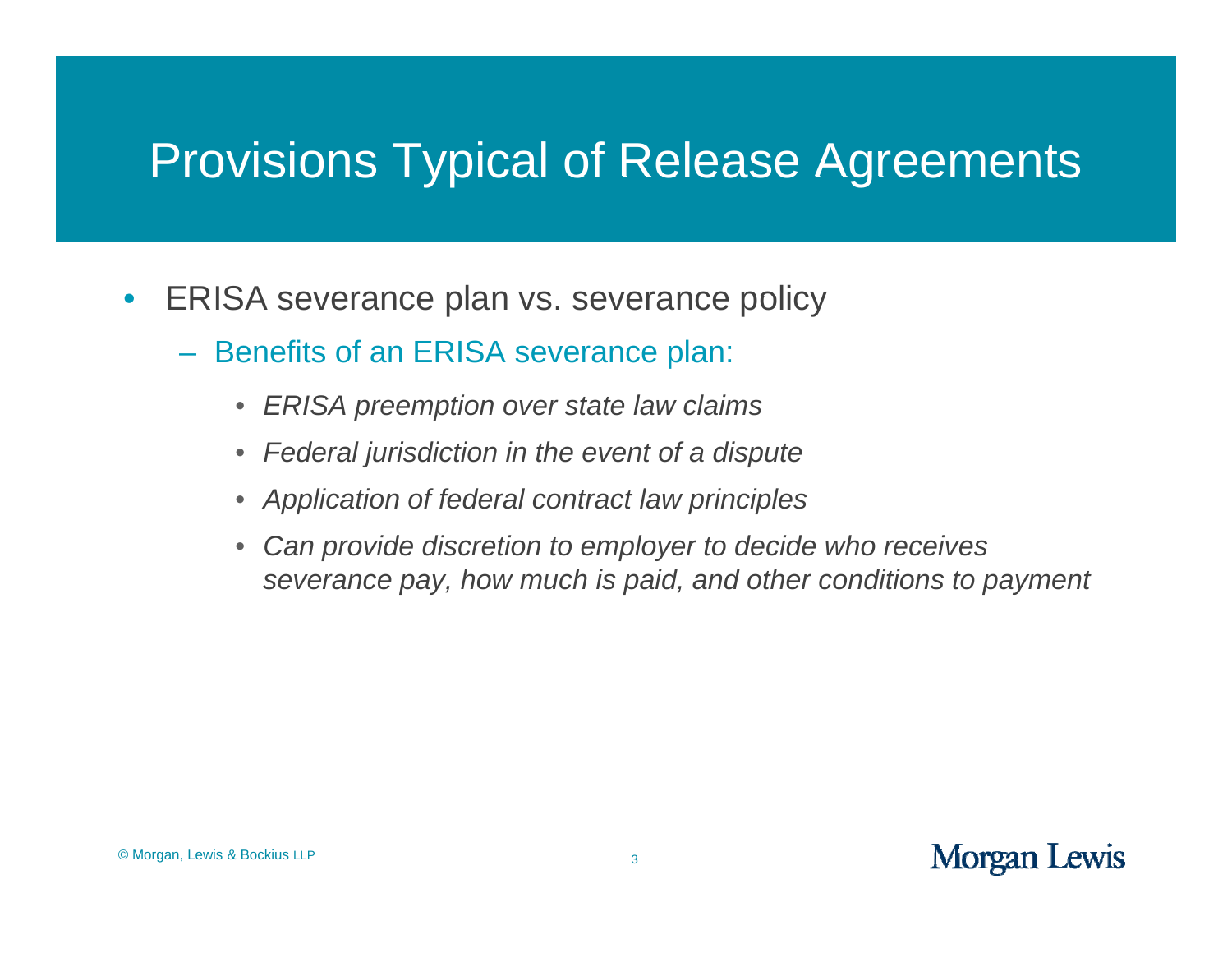- $\bullet$ ERISA severance plan vs. severance policy
	- Benefits of an ERISA severance plan:
		- $\bullet$ *ERISA p p reem tion over state law claim s*
		- *Federal jurisdiction in the event of a dispute*
		- *Application of federal contract law principles*
		- $\bullet$ *Can provide discretion to employer to decide who receives severance pay, how much is paid, and other conditions to payment*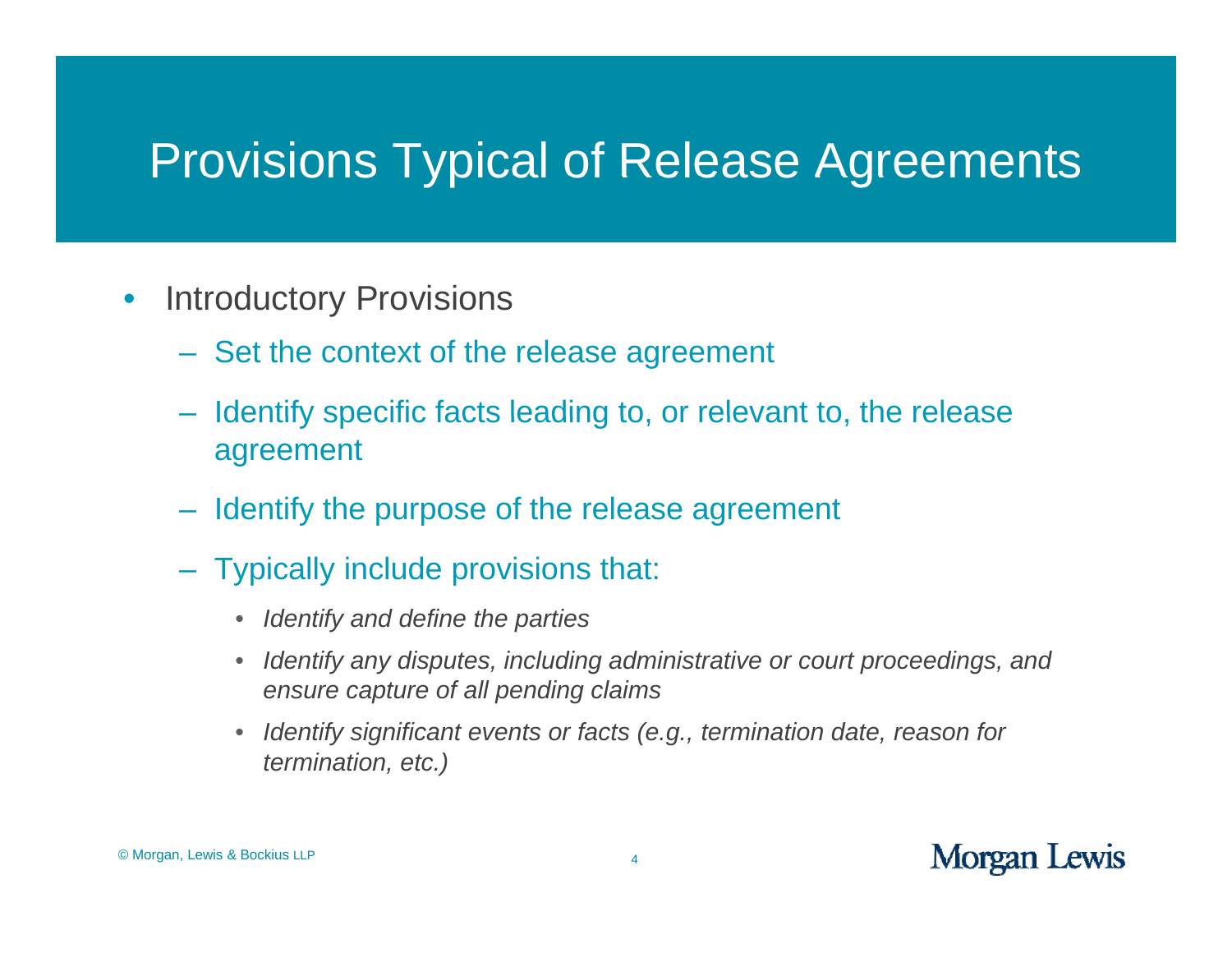- $\bullet$ **Introductory Provisions** 
	- Set the context of the release agreement
	- Identify specific facts leading to, or relevant to, the release agreement
	- Identify the purpose of the release agreement
	- Typically include provisions that:
		- $\bullet$ *Identify and define the parties*
		- $\bullet$ • Identify any disputes, including administrative or court proceedings, and *ensure capture of all pending claims*
		- $\bullet$  *Identify significant events or facts (e.g., termination date, reason for termination, etc. )*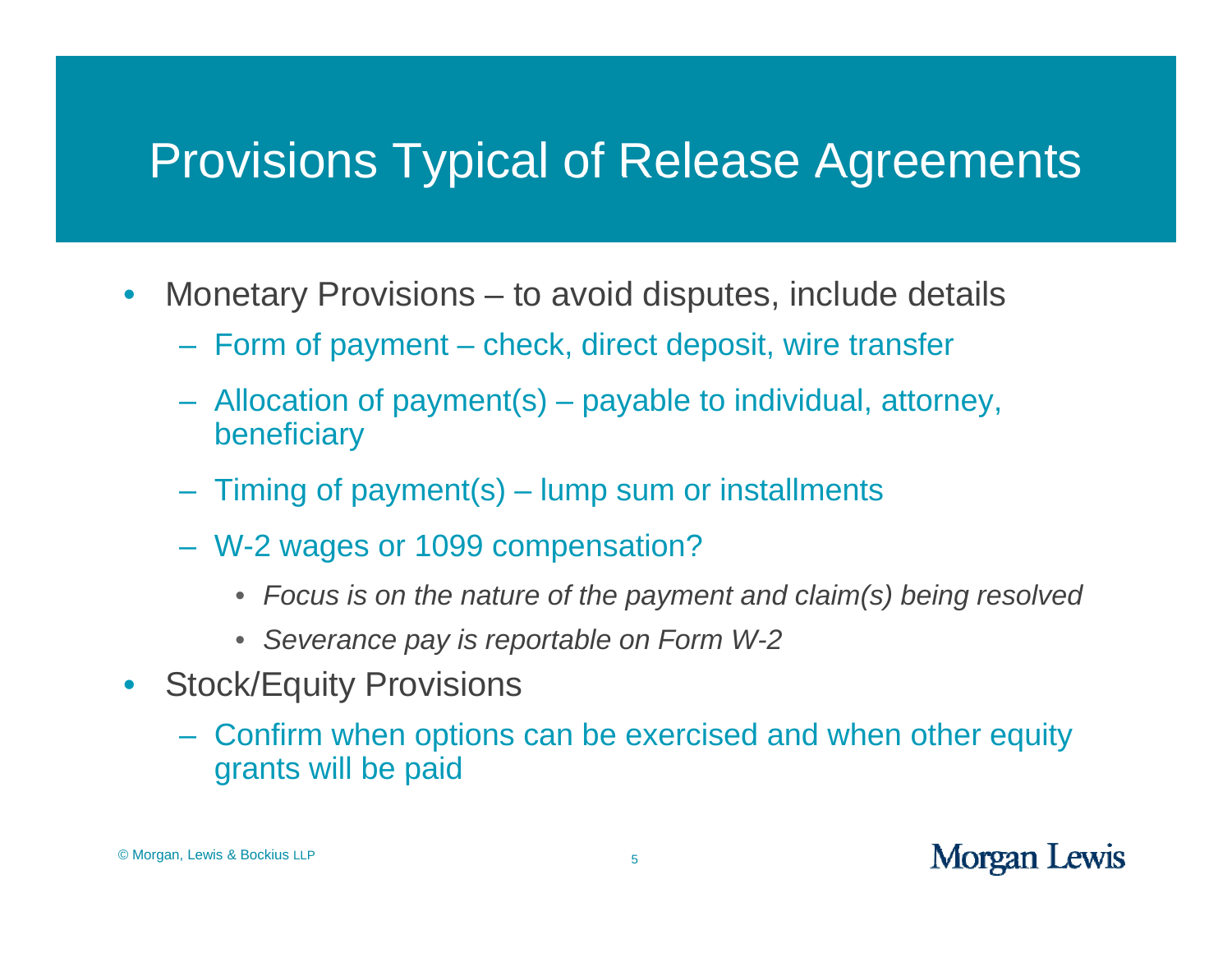- $\bullet$ • Monetary Provisions  $-$  to avoid disputes, include details
	- Form of payment check, direct deposit, wire transfer
	- Allocation of payment(s) – payable to individual, attorney, beneficiary
	- Timing of payment(s) lump sum or installments
	- W-2 wages or 1099 compensation?
		- *Focus is on the nature of the payment and claim(s) being resolved*
		- *Severance pay is reportable on Form W-2*
- $\bullet$  Stock/Equity Provisions
	- Confirm when options can be exercised and when other equity grants will be paid<br>s & Bockius LLP 5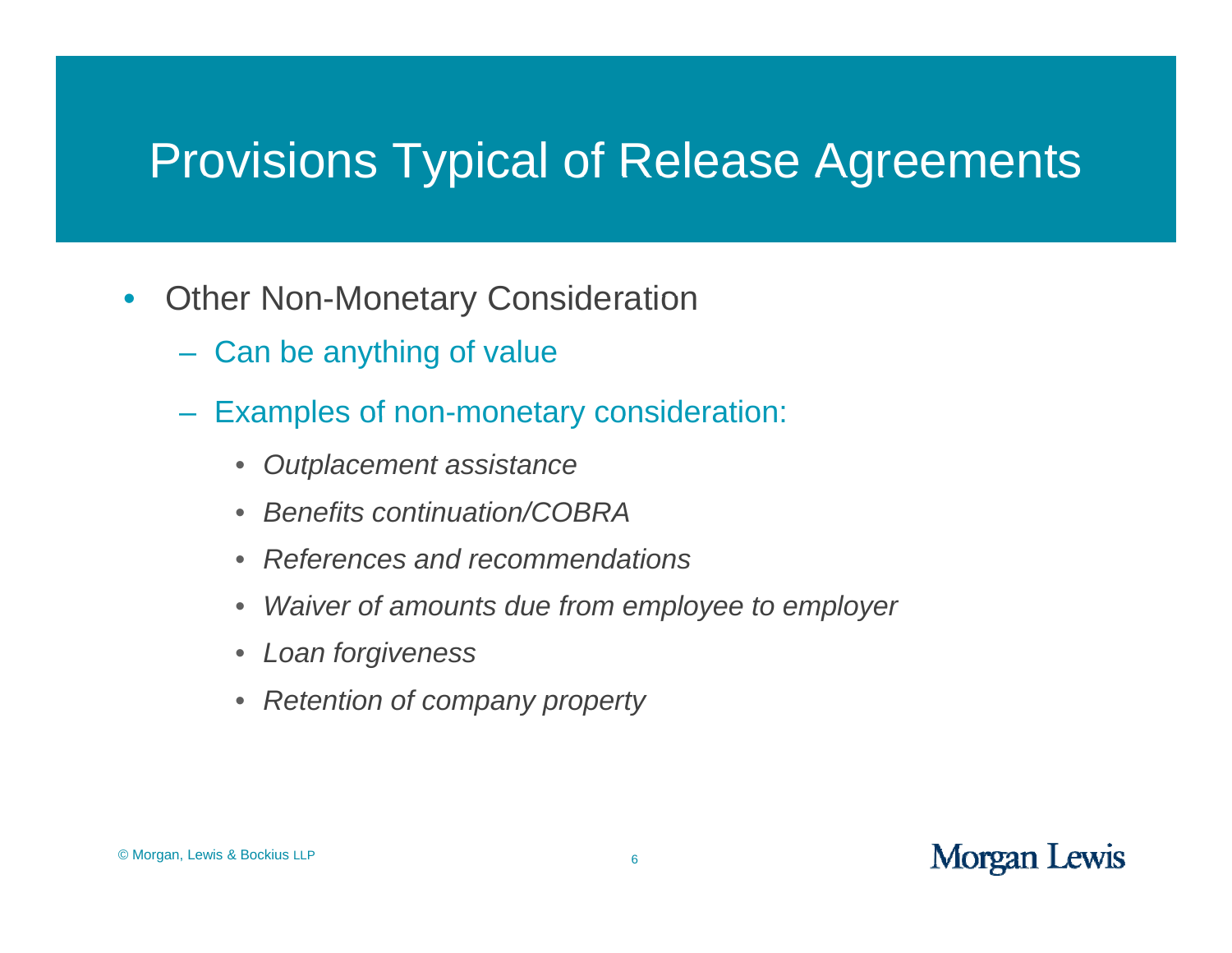- $\bullet$ • Other Non-Monetary Consideration
	- Can be anything of value
	- Examples of non-monetary consideration:
		- $\bullet$ *Outplacement assistance*
		- $\bullet$ *Benefits continuation/COBRA*
		- $\bullet$ *References and recommendations*
		- $\bullet$ *Waiver of amounts due from employee to employer*
		- $\bullet$ *Loan forgiveness*
		- *Retention of company property*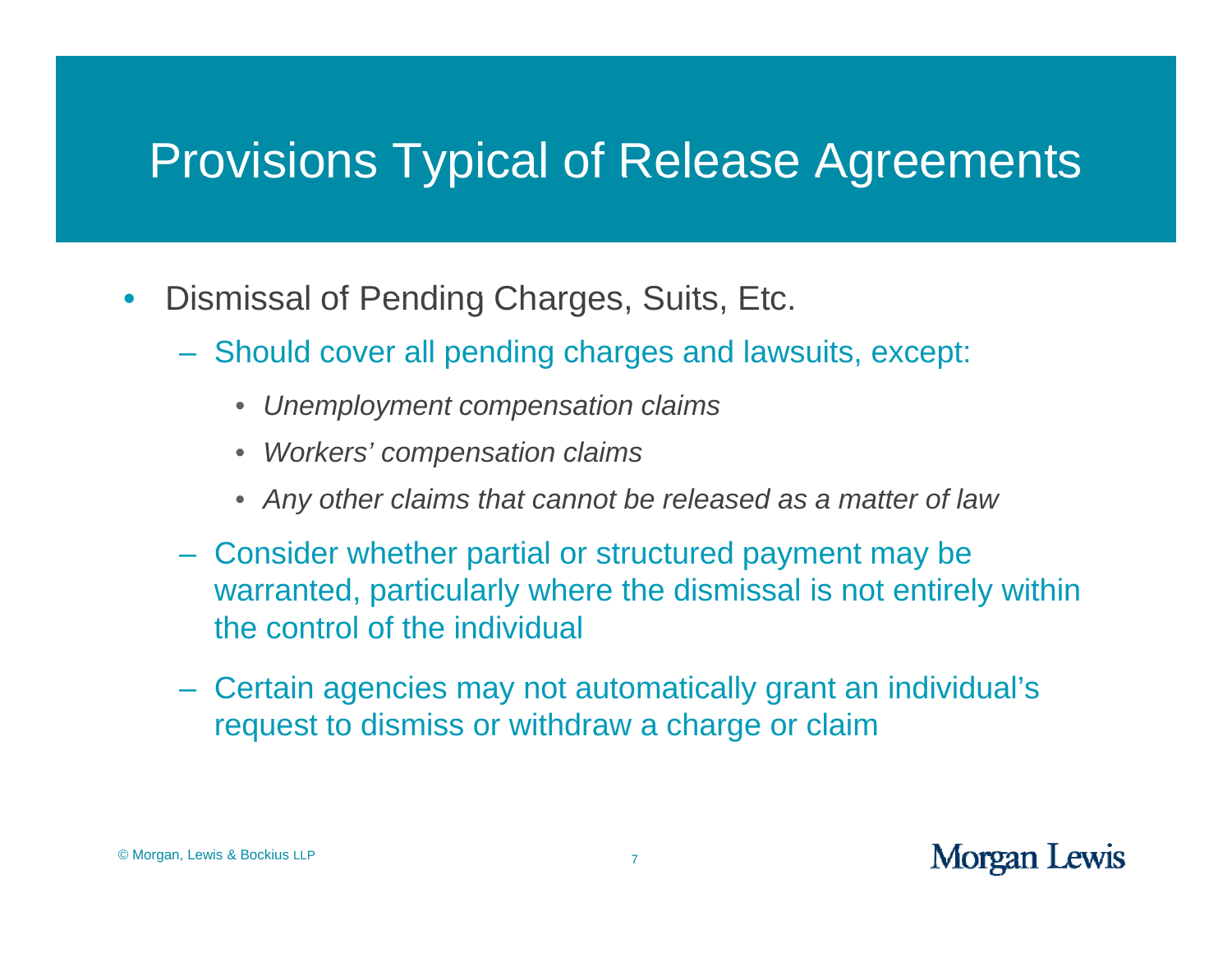- $\bullet$ Dismissal of Pending Charges, Suits, Etc.
	- Should cover all pending charges and lawsuits, except:
		- $\bullet$ • Unemployment compensation claims
		- *Workers' compensation claims*
		- *Any other claims that cannot be released as a matter of law*
	- Consider whether partial or structured payment may be warranted, particularly where the dismissal is not entirely within the control of the individual
	- Certain agencies may not automatically grant an individual's request to dismiss or withdraw a charge or claim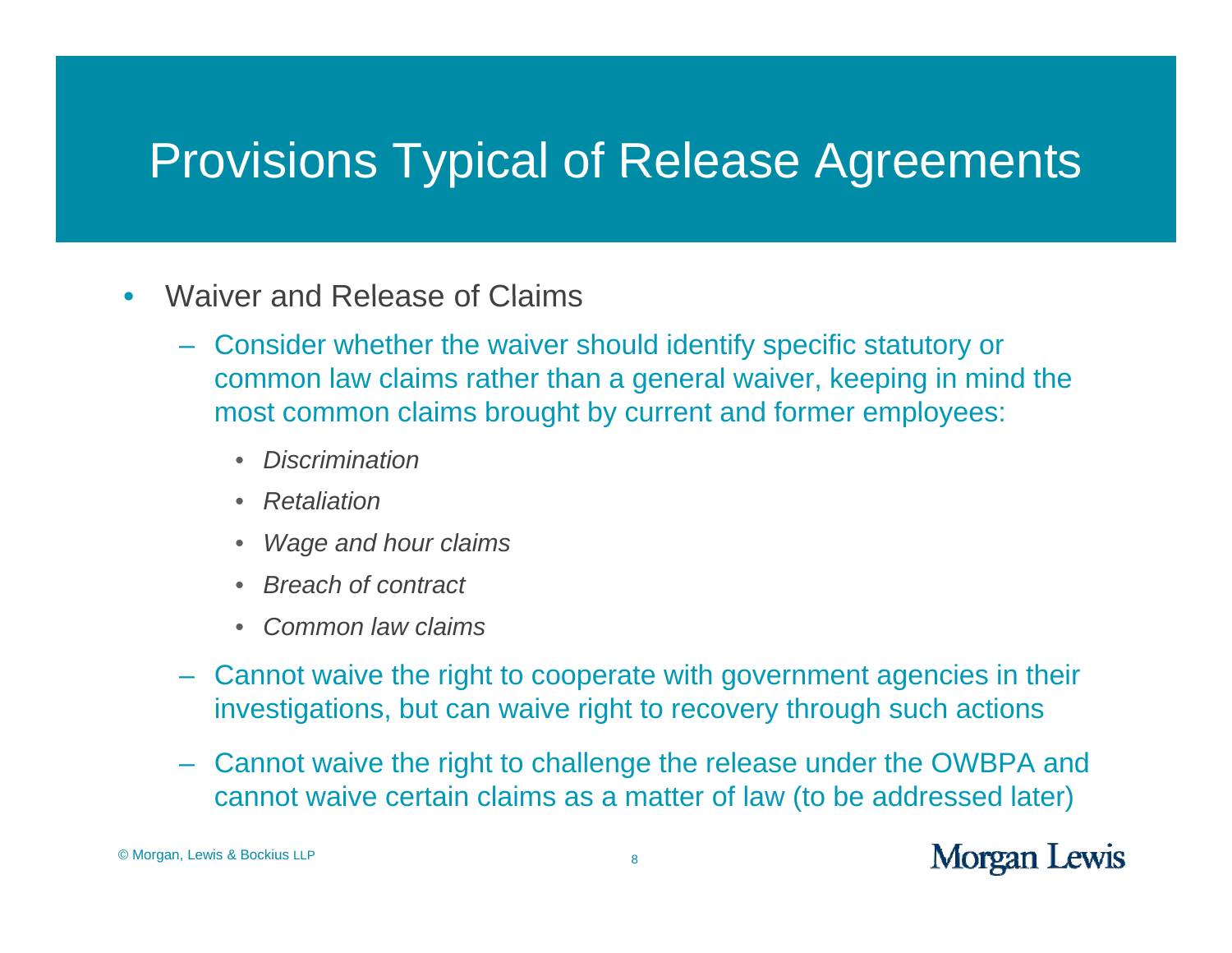- •Waiver and Release of Claims
	- Consider whether the waiver should identify specific statutory or common law claims rather than a general waiver, keeping in mind the most common claims brought by current and former employees:
		- $\bullet$ *Discrimination*
		- $\bullet$ *Retaliation*
		- $\bullet$ *W dh l i Wage an d hour claims*
		- $\bullet$ *Breach of contract*
		- $\bullet$ *Common law claims*
	- Cannot waive the right to cooperate with government agencies in their investigations, but can waive right to recovery through such actions
	- Cannot waive the right to challenge the release under the OWBPA and cannot waive certain claims as a matter of law (to be addressed later)

© Morgan, Lewis & Bockius LLP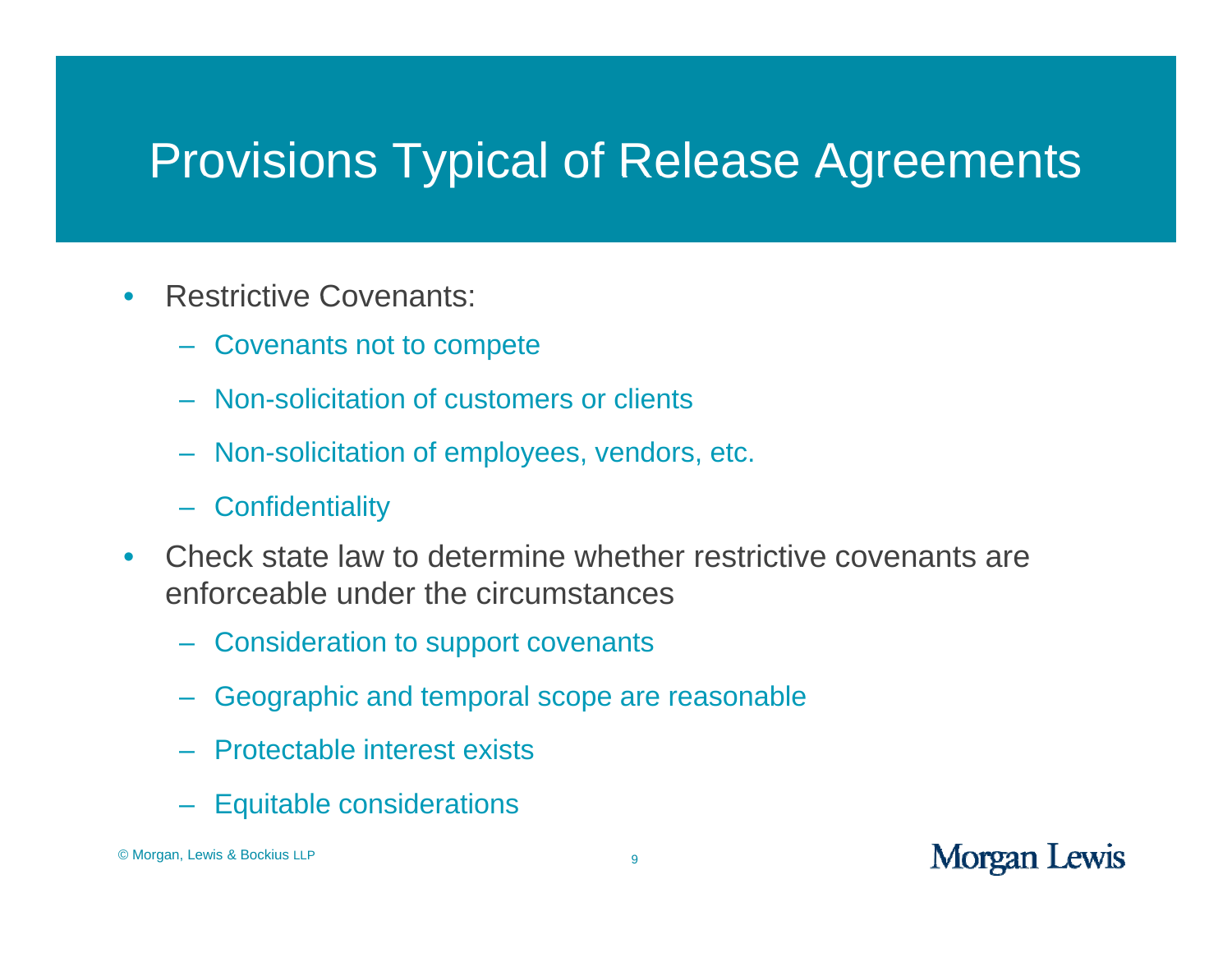- $\bullet$  Restrictive Covenants:
	- Covenants not to compete
	- Non-solicitation of customers or clients
	- Non-solicitation of employees, vendors, etc.
	- Confidentiality
- $\bullet$  Check state law to determine whether restrictive covenants are enforceable under the circumstances
	- Consideration to support covenants
	- Geographic and temporal scope are reasonable
	- Protectable interest exists
	- Equitable considerations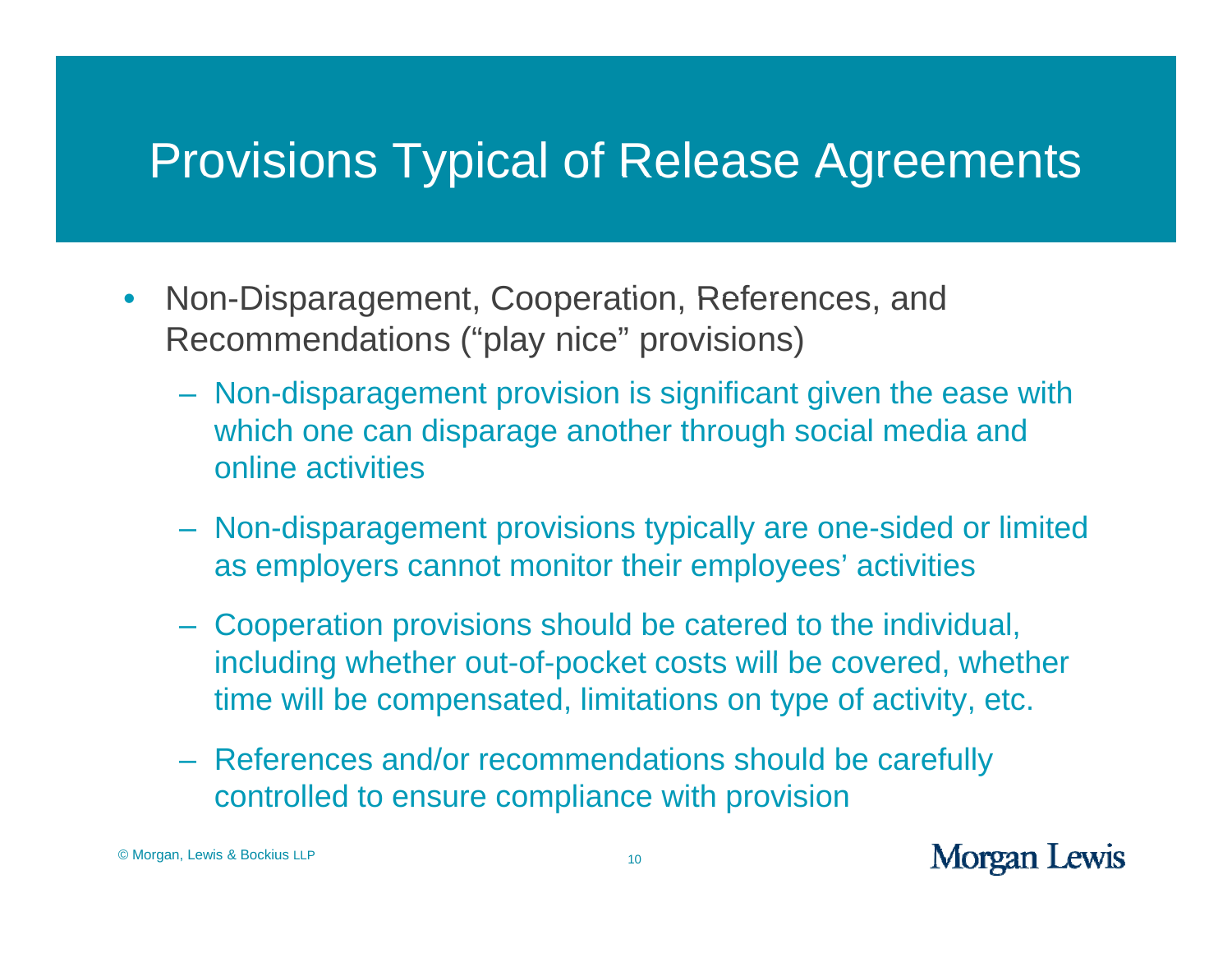- $\bullet$ • Non-Disparagement, Cooperation, References, and Recommendations ("play nice" provisions)
	- Non-disparagement provision is significant given the ease with which one can disparage another through social media and online activities
	- Non-disparagement provisions typically are one-sided or limited as employers cannot monitor their employees' activities
	- Cooperation provisions should be catered to the individual, including whether out-of-pocket costs will be covered, whether time will be compensated, limitations on type of activity, etc.
	- References and/or recommendations should be carefull y controlled to ensure compliance with provision

© Morgan, Lewis & Bockius LLP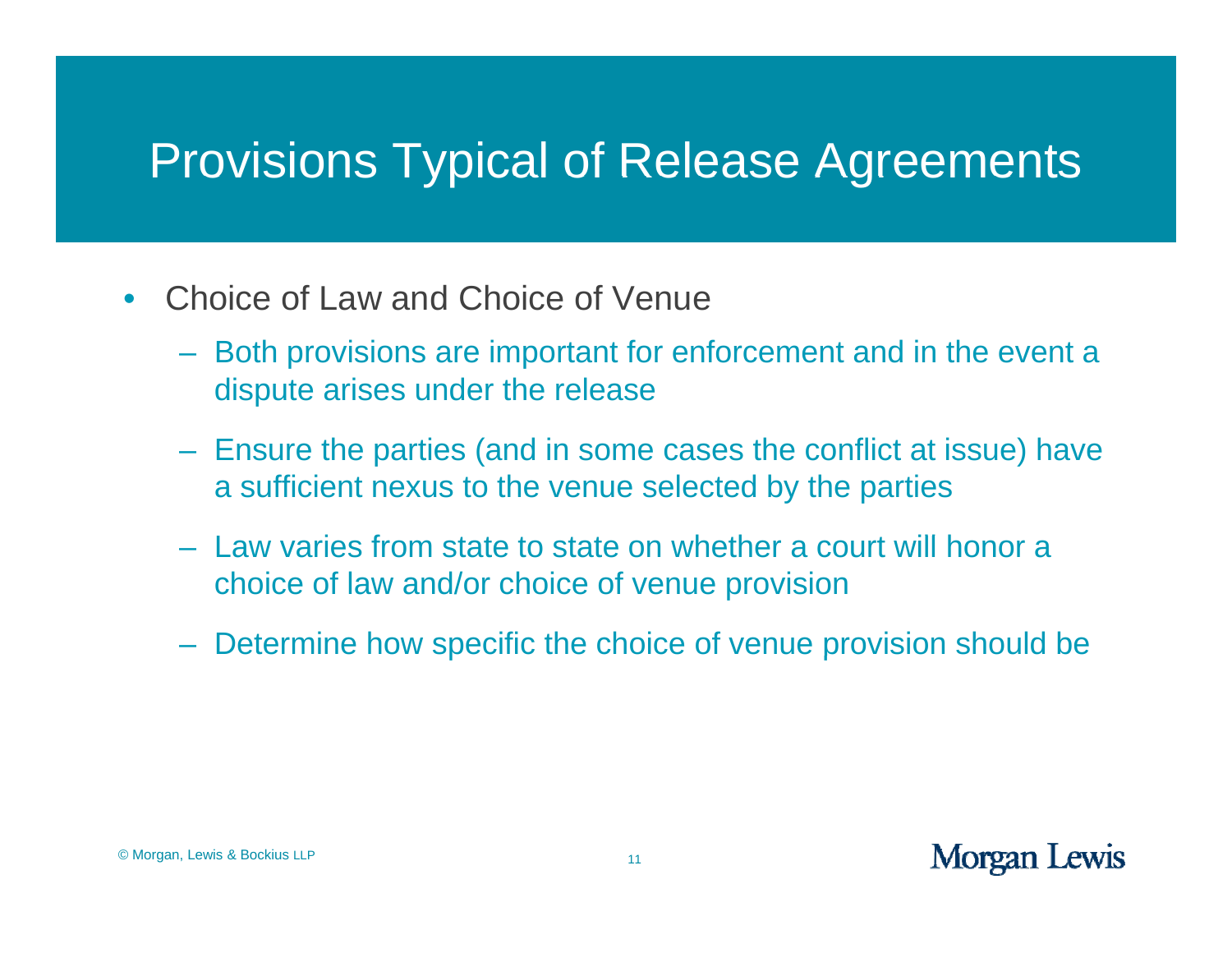- $\bullet$  Choice of Law and Choice of Venue
	- Both provisions are important for enforcement and in the event a dispute arises under the release
	- Ensure the parties (and in some cases the conflict at issue) have a sufficient nexus to the venue selected by the parties
	- Law varies from state to state on whether a court will honor a choice of law and/or choice of venue provision
	- Determine how specific the choice of venue provision should be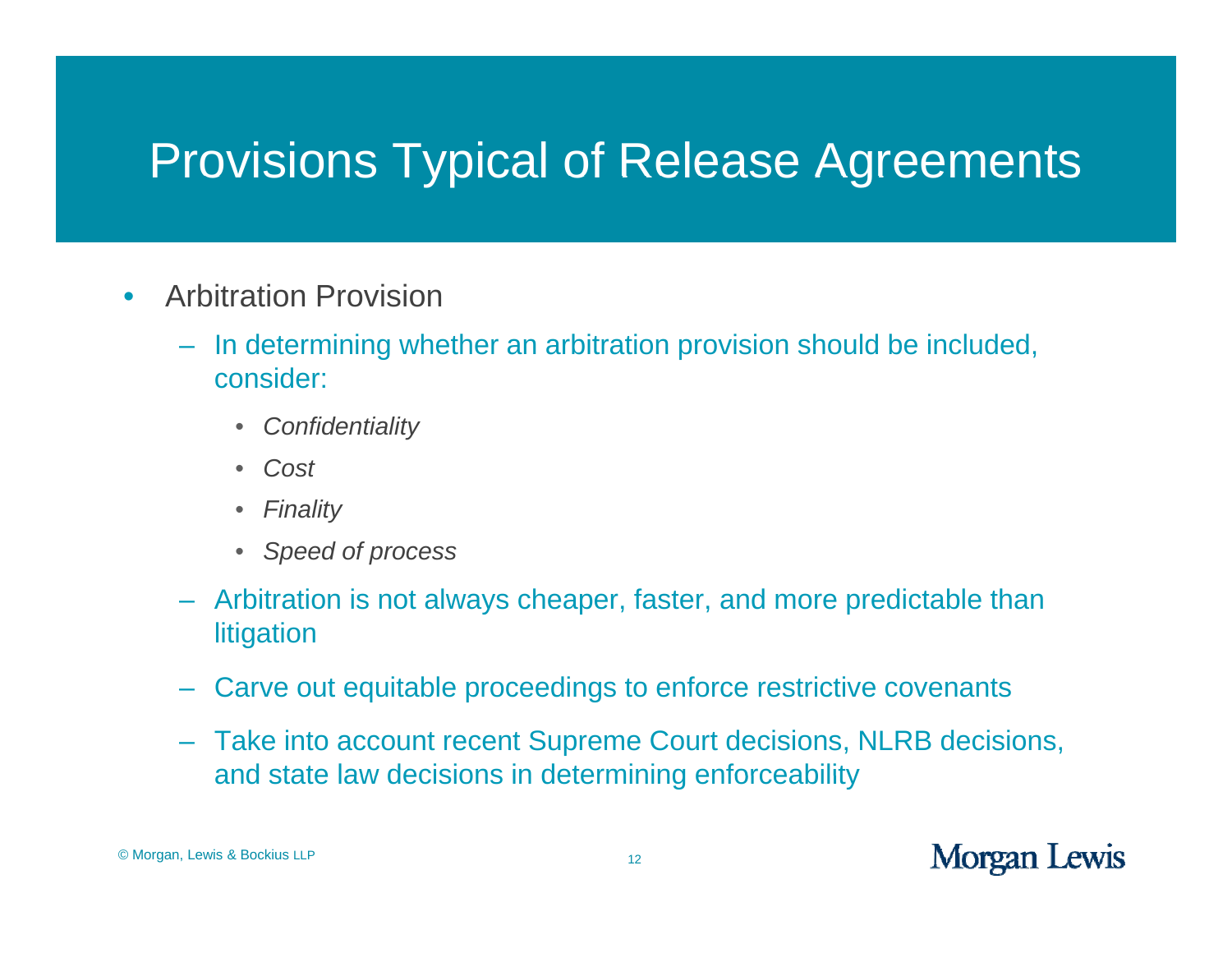- $\bullet$  Arbitration Provision
	- In determining whether an arbitration provision should be included, consider:
		- *Confidentiality*
		- *Cost*
		- *Finality*
		- *Speed of process*
	- Arbitration is not always cheaper, faster, and more predictable than **litigation**
	- Carve out equitable proceedings to enforce restrictive covenants
	- Take into account recent Supreme Court decisions, NLRB decisions, and state law decisions in determining enforceability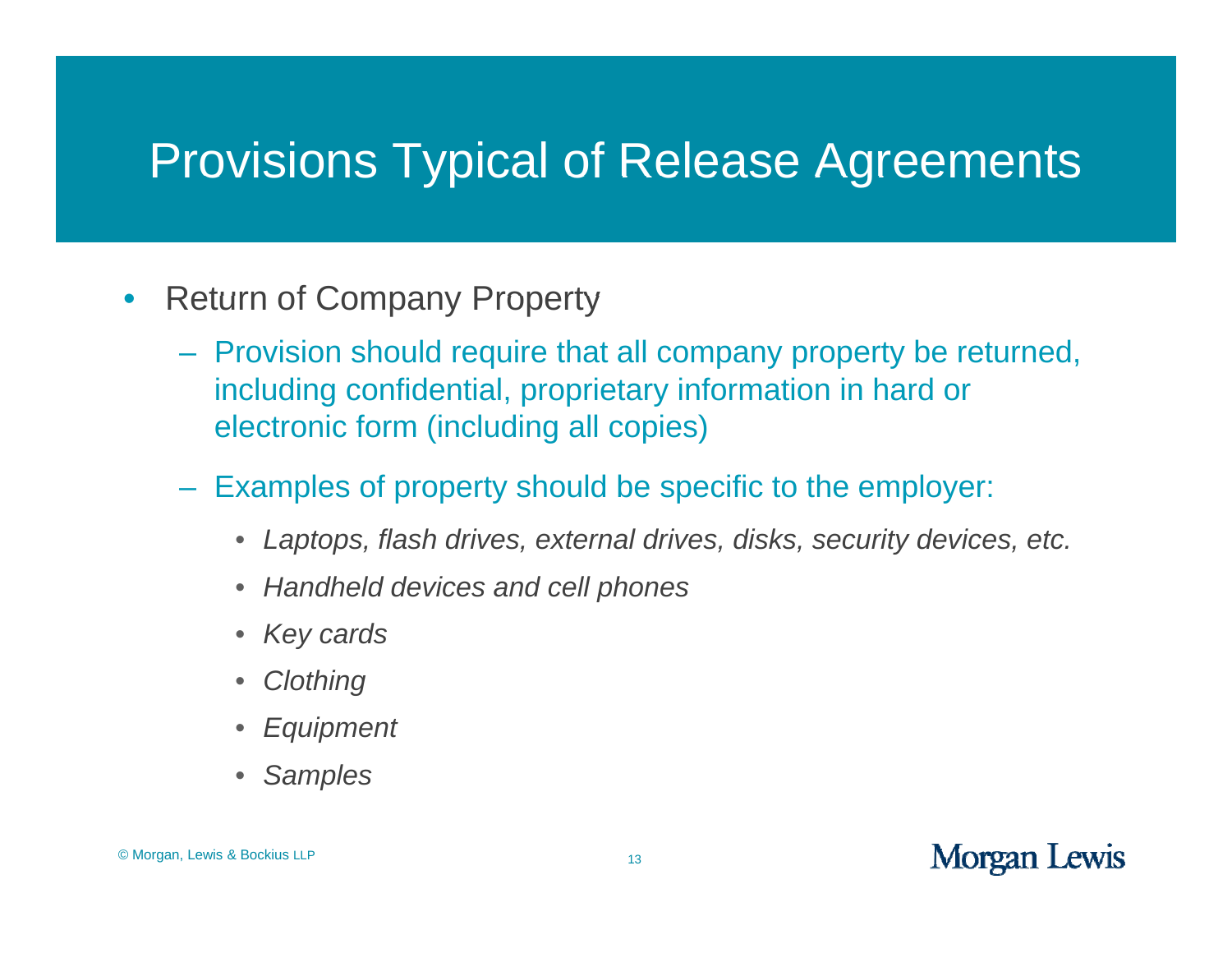- $\bullet$  Return of Company Property
	- Provision should require that all company property be returned, including confidential, proprietary information in hard or electronic form (including all copies)
	- Examples of property should be specific to the employer:
		- Laptops, flash drives, external drives, disks, security devices, etc.
		- *Handheld devices and cell phones*
		- *Key cards*
		- $\bullet$ *Clothing*
		- •*Equipment*
		- •*Samples*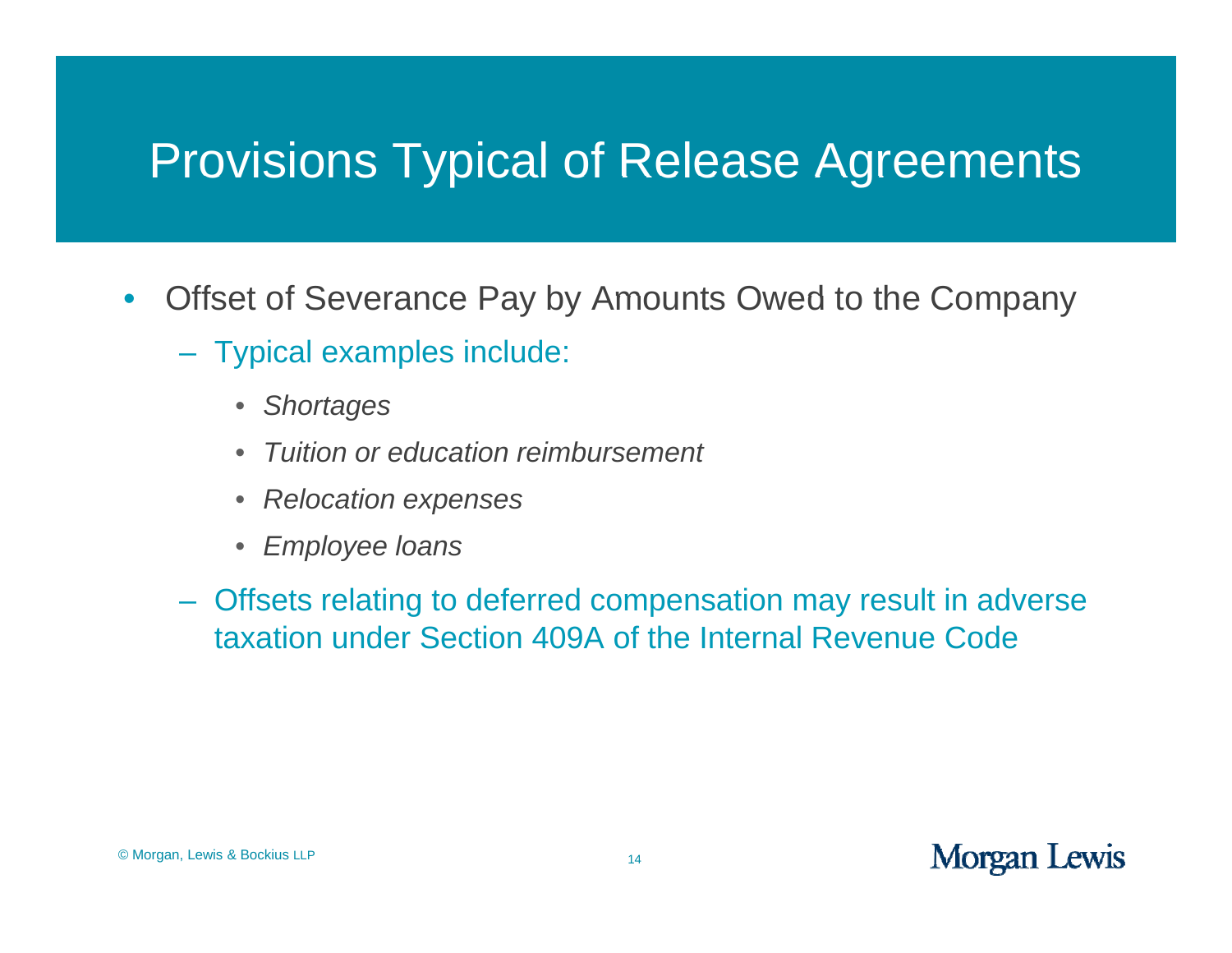- $\bullet$ Offset of Severance Pay by Amounts Owed to the Company
	- Typical examples include:
		- Shortages
		- $\bullet$ *Tuition or education reimbursement*
		- $\bullet$ *Relocation expenses*
		- $\bullet$ *Employee loan s*
	- Offsets relating to deferred compensation may result in adverse taxation under Section 409A of the Internal Revenue Code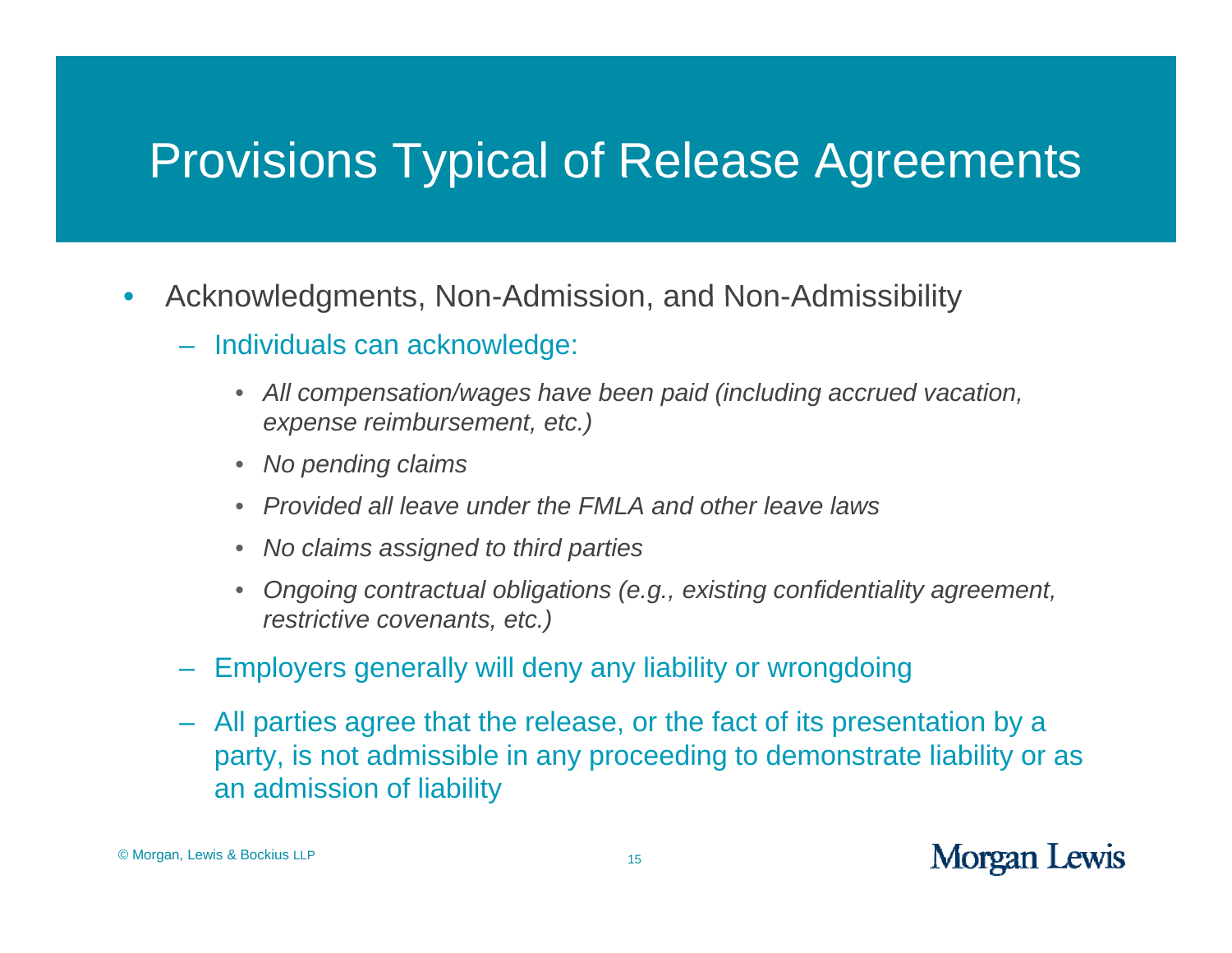- $\bullet$ • Acknowledgments, Non-Admission, and Non-Admissibility
	- Individuals can acknowledge:
		- $\bullet$  *All compensation/wages have been paid (including accrued vacation, expense reib t t) im bursement, etc. )*
		- $\bullet$ *No pending claims*
		- $\bullet$ *Provided all leave under the FMLA and other leave laws*
		- $\bullet$ *No claims assigned to third parties*
		- $\bullet$  *Ongoing contractual obligations (e.g., existing confidentiality agreement, restrictive covenants, etc.)*
	- Employers generally will deny any liability or wrongdoing
	- All parties agree that the release, or the fact of its presentation by a party, is not admissible in any proceeding to demonstrate liability or as an admission of liability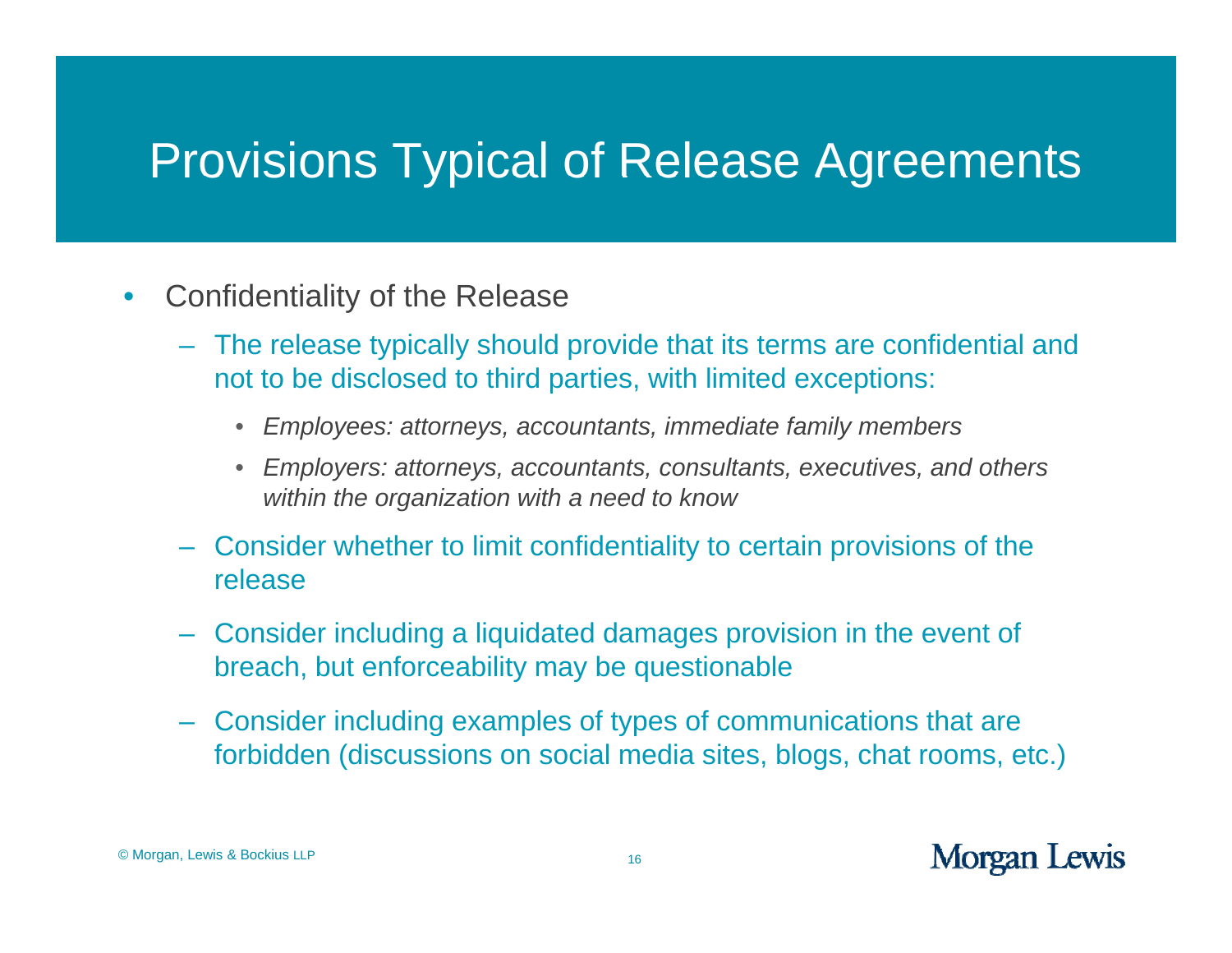- $\bullet$ Confidentiality of the Release
	- The release typically should provide that its terms are confidential and not to be disclosed to third parties, with limited exceptions:
		- *Employees: attorneys, accountants, immediate family members*
		- $\bullet$  *Employers: attorneys, accountants, consultants, executives, and others within the organization with a need to know*
	- Consider whether to limit confidentiality to certain provisions of the release
	- Consider including a liquidated damages provision in the event of breach, but enforceability may be questionable
	- Consider including examples of types of communications that are forbidden (discussions on social media sites, blogs, chat rooms, etc.)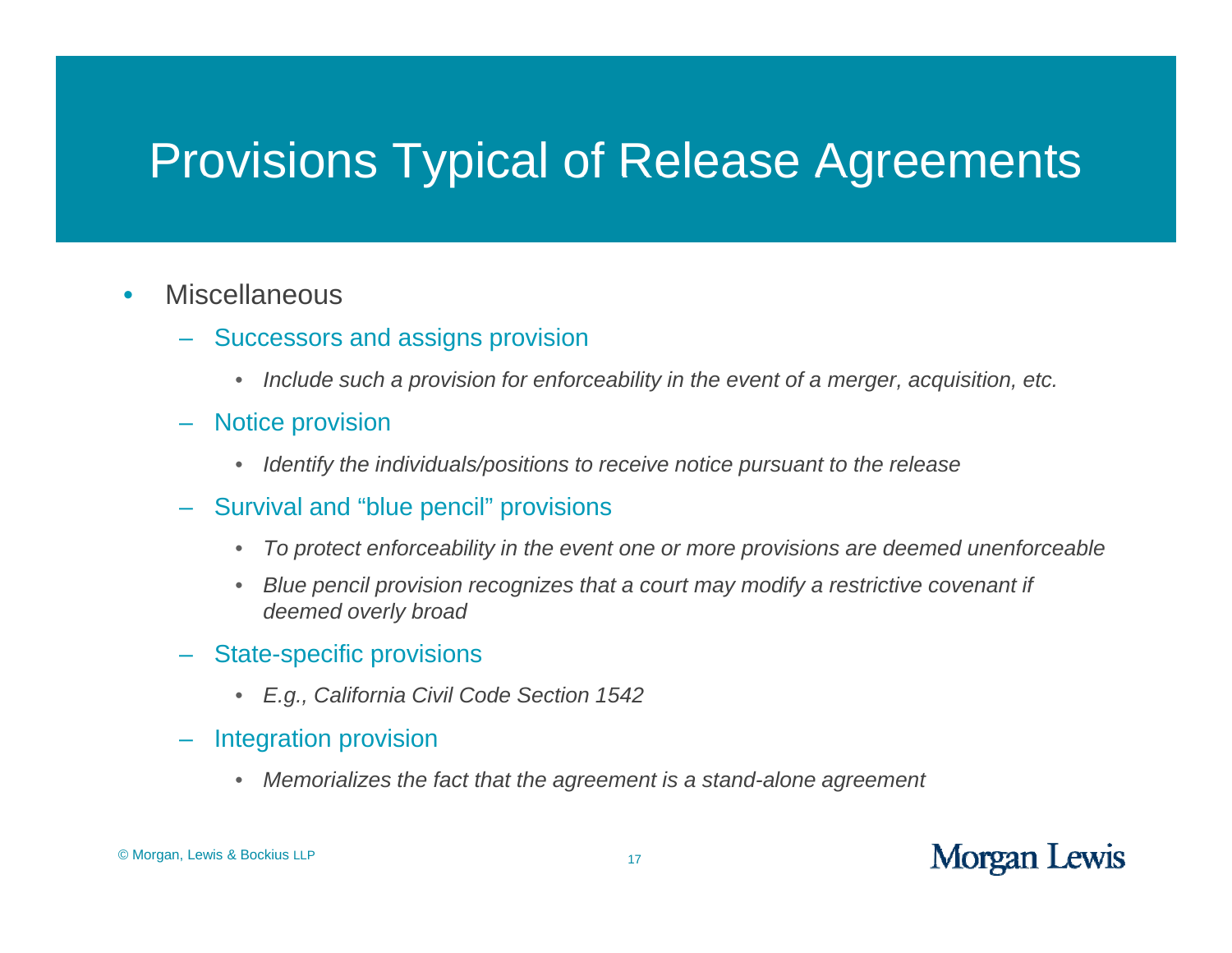#### $\bullet$ **Miscellaneous**

- Successors and assigns provision
	- *Include such a provision for enforceability in the event of a merger, acquisition, etc.*
- Notice provision
	- $\bullet$ *Identify the individuals/positions to receive notice pursuant to the release*
- Survival and "blue pencil" provisions
	- $\bullet$ *To protect enforceability in the event one or more provisions are deemed unenforceable*
	- $\bullet$ *Blue pencil provision recognizes that a court may modify a restrictive covenant if deemed overly broad*
- State-specific provisions
	- *E.g., California Civil Code Section 1542*
- Integration provision
	- Memorializes the fact that the agreement is a stand-alone agreement  $\bullet$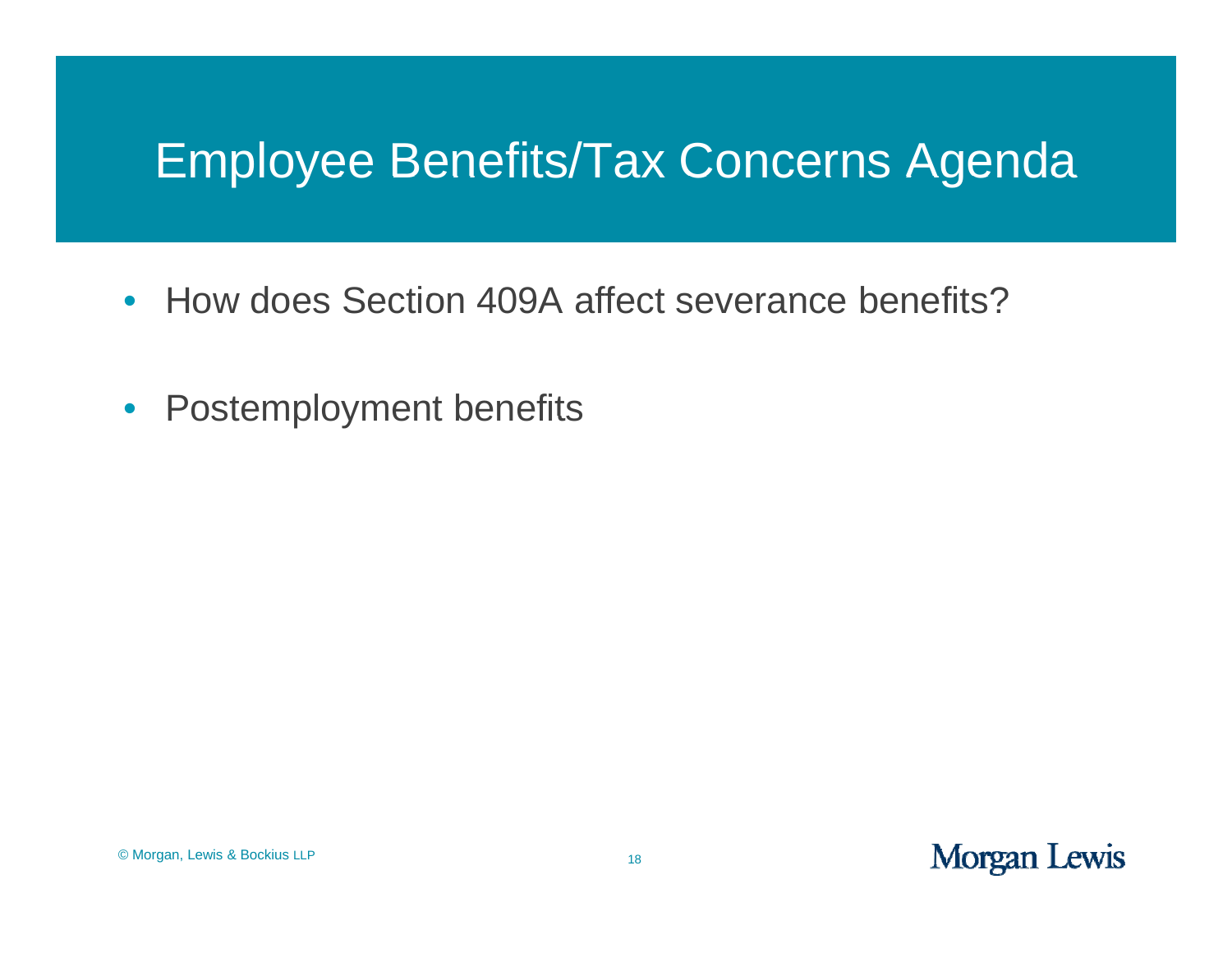#### Employee Benefits/Tax Concerns Agenda

- How does Section 409A affect severance benefits?
- •Postemployment benefits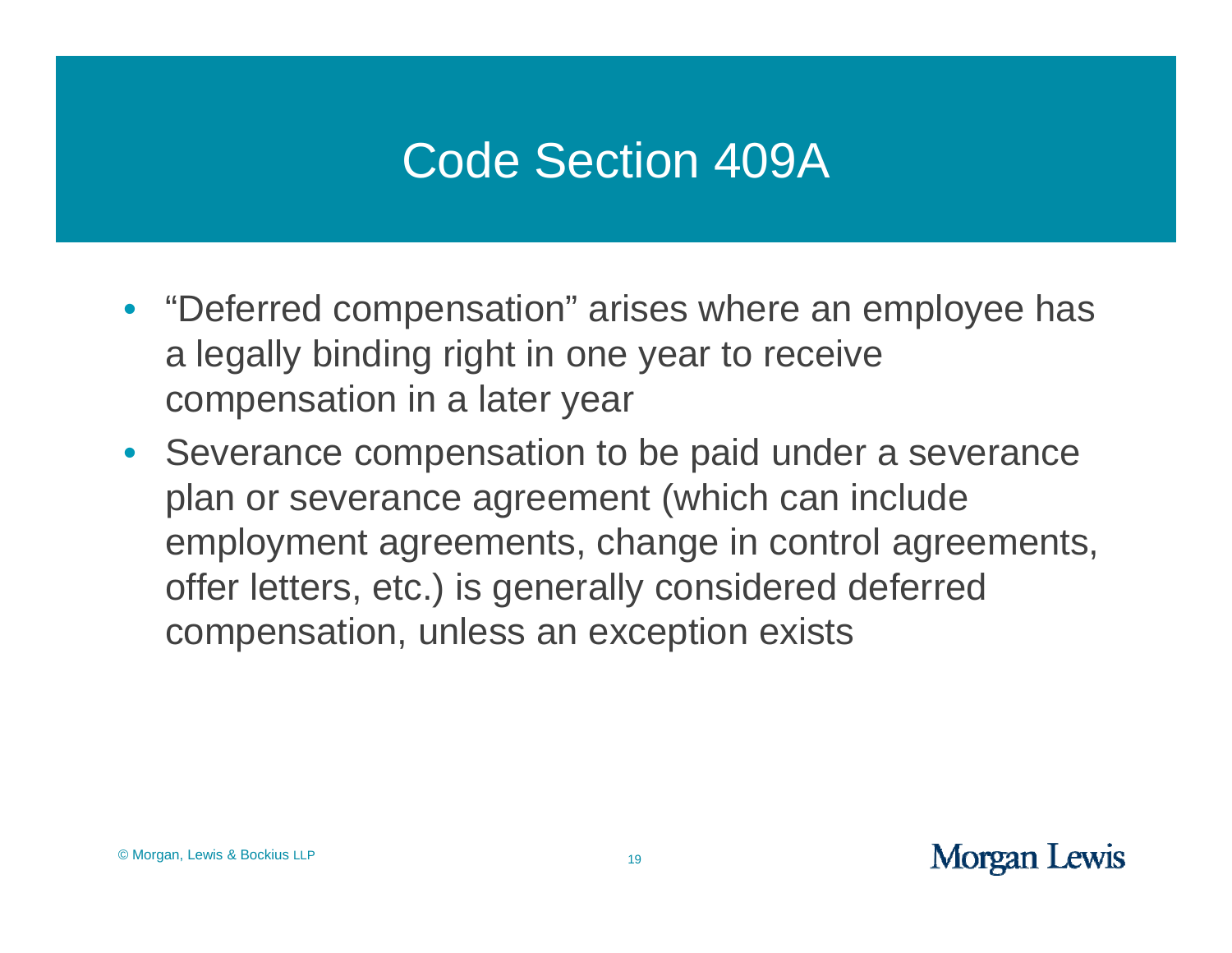#### Code Section 409A

- "Deferred compensation" arises where an employee has a legally binding right in one year to receive compensation in a later year
- Severance compensation to be paid under a severance plan or severance agreement (which can include employment agreements, change in control agreements, offer letters, etc.) is generally considered deferred compensation, unless an exception exists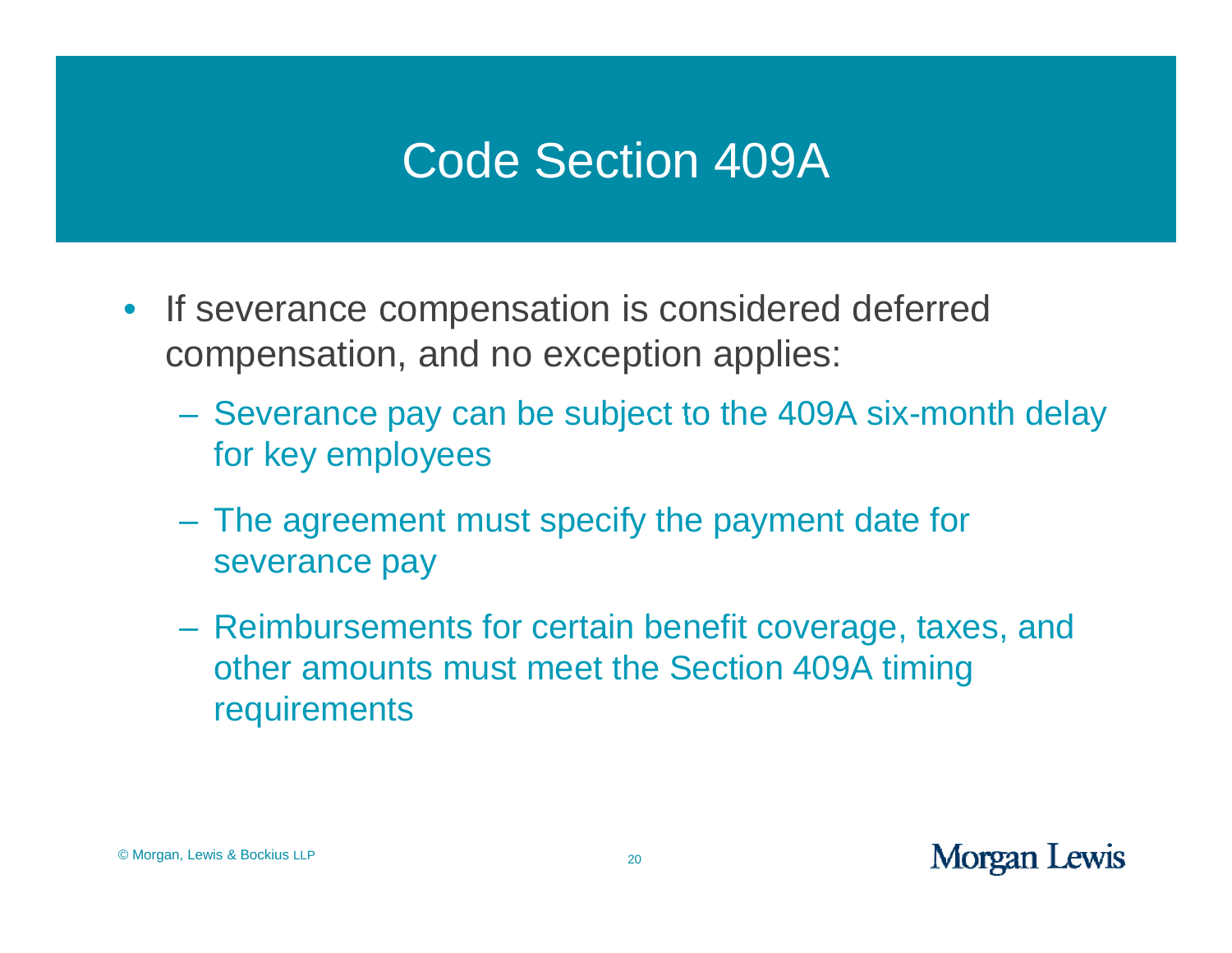#### Code Section 409A

- If severance compensation is considered deferred compensation, and no exception applies:
	- Severance pay can be subject to the 409A six-month delay for key employees
	- The agreement must specify the payment date for severance pay
	- Reimbursements for certain benefit coverage, taxes, and other amounts must meet the Section 409A timing requirements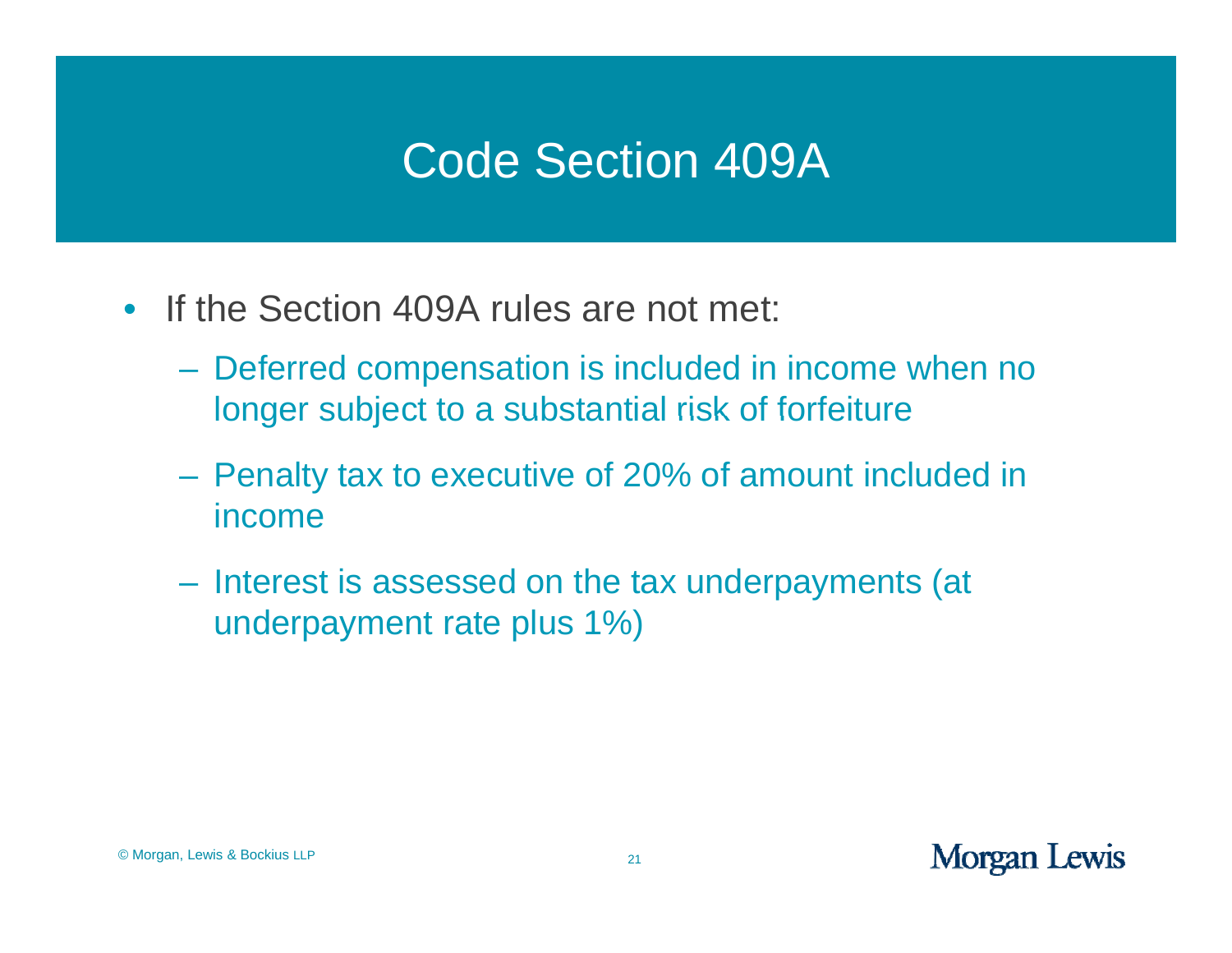#### Code Section 409A

- If the Section 409A rules are not met:
	- Deferred compensation is included in income when no longer subject to a substantial risk of forfeiture
	- Penalty tax to executive of 20% of amount included in income
	- Interest is assessed on the tax underpayments (at underpayment rate plus 1%)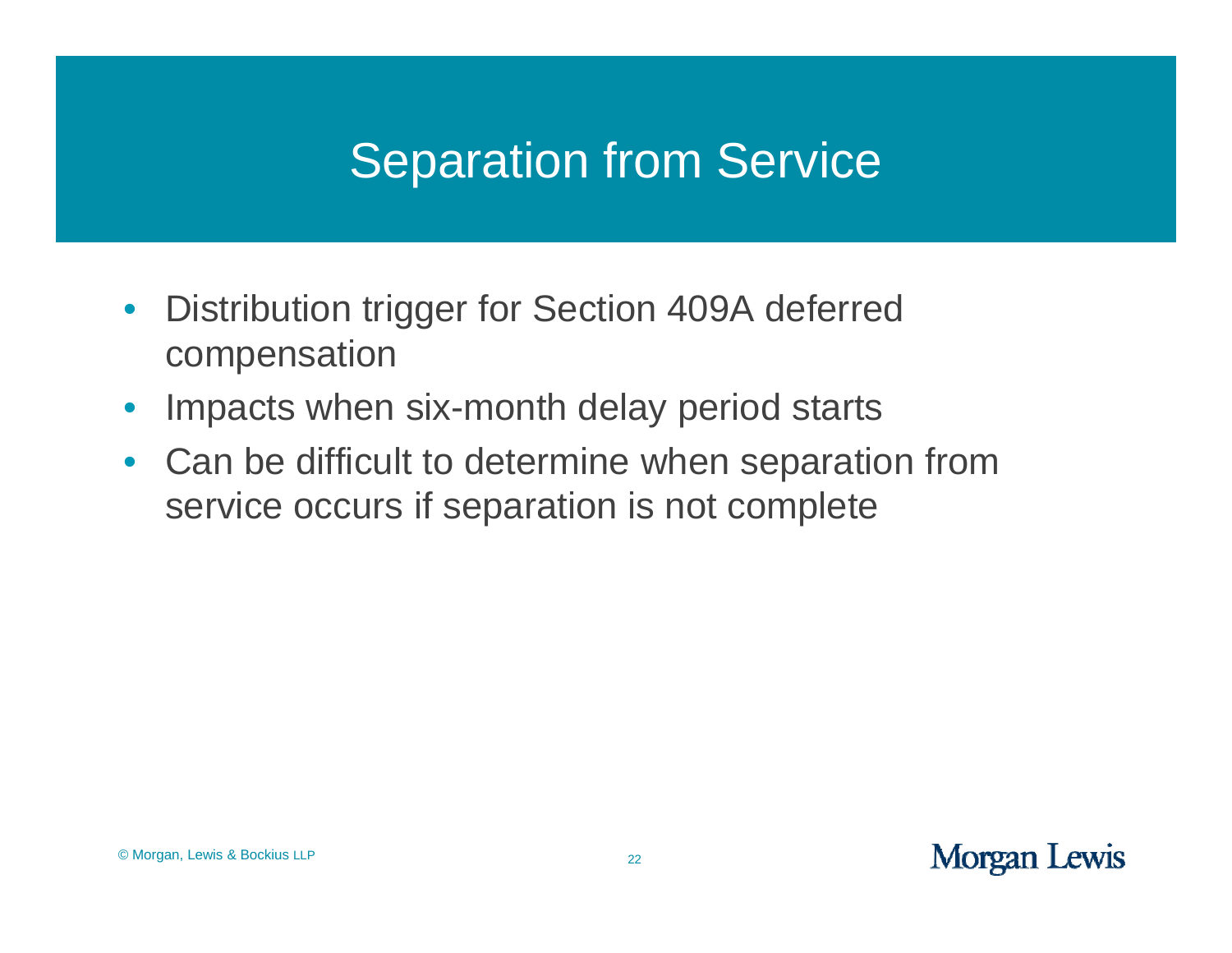#### Separation from Service

- $\bullet$ • Distribution trigger for Section 409A deferred compensation
- $\bullet$ • Impacts when six-month delay period starts
- $\bullet$  Can be difficult to determine when separation from service occurs if separation is not complete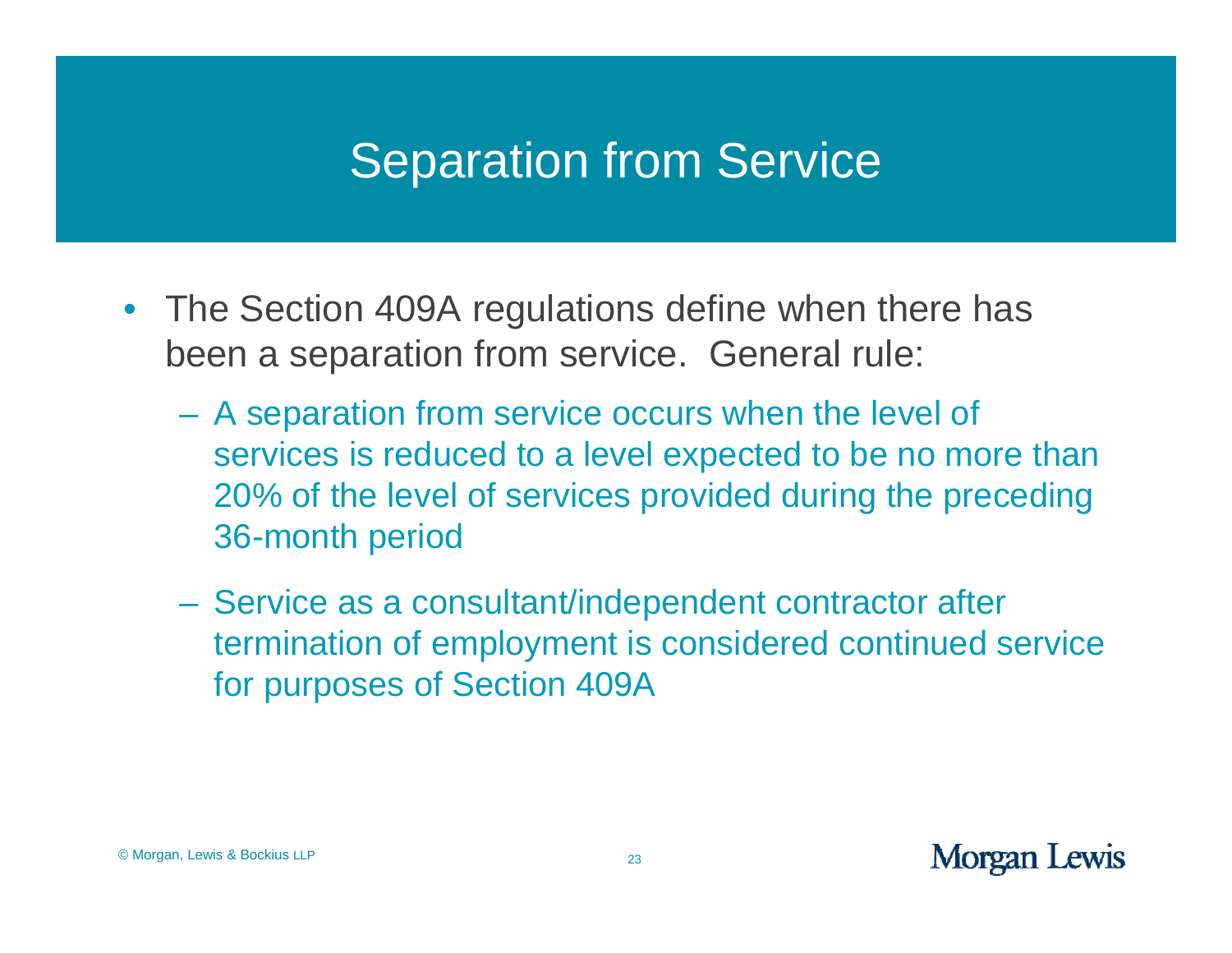#### Separation from Service

- The Section 409A regulations define when there has been a separation from service. General rule:
	- $-$  A separation from service occurs when the level of services is reduced to a level expected to be no more than 20% of the level of services provided during the preceding 36-month period
	- Service as a consultant/independent contractor after termination of employment is considered continued service for purposes of Section 409A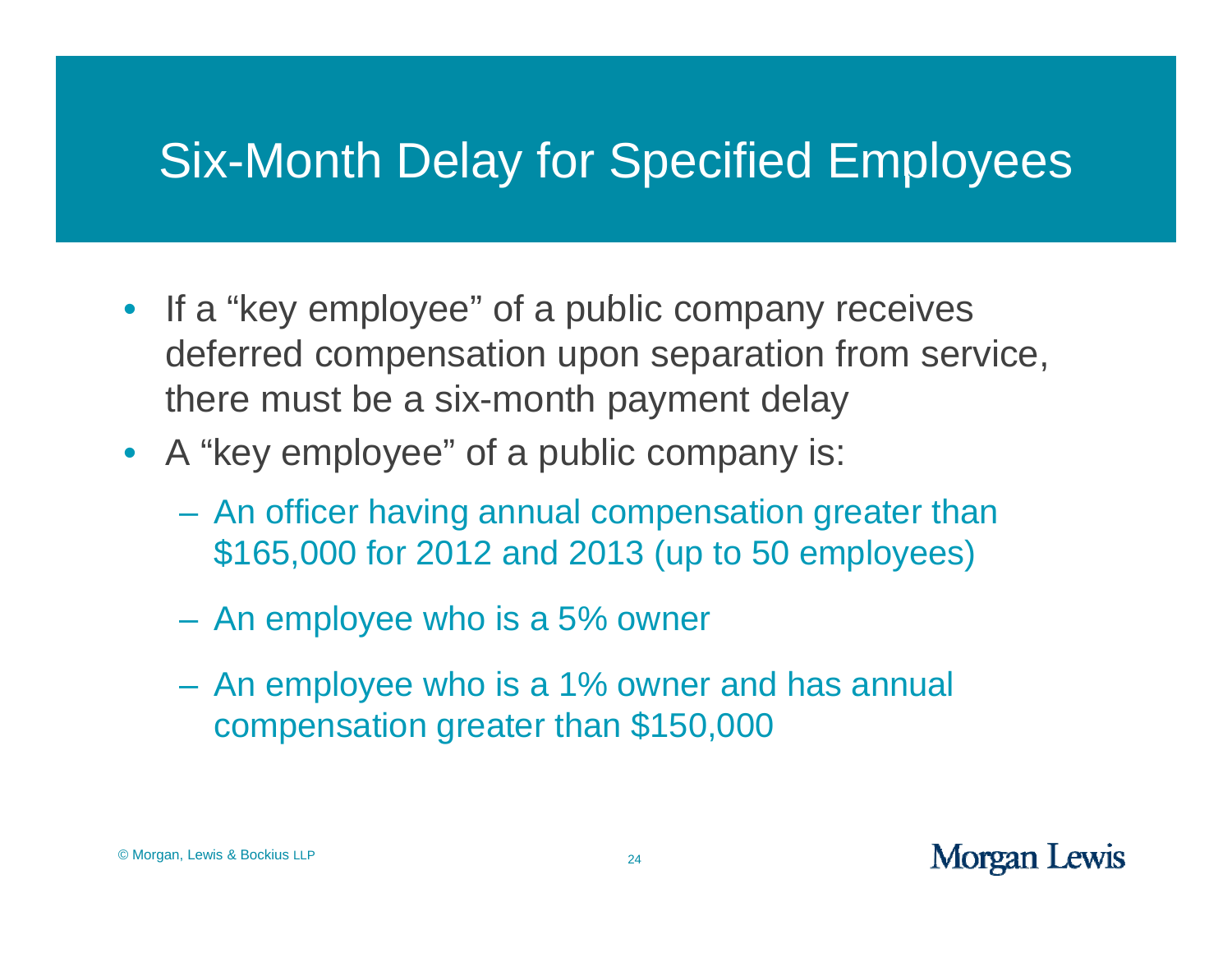## Six-Month Delay for Specified Employees

- If a "key employee" of a public company receives deferred compensation upon separation from service, there must be a six-month payment delay
- A "key employee" of a public company is:
	- An officer having annual compensation greater than \$165,000 for 2012 and 2013 (up to 50 employees)
	- An employee who is a 5% owner
	- $\mathcal{L}_{\mathcal{A}}$  An employee who is a 1% owner and has annual compensation greater than \$150,000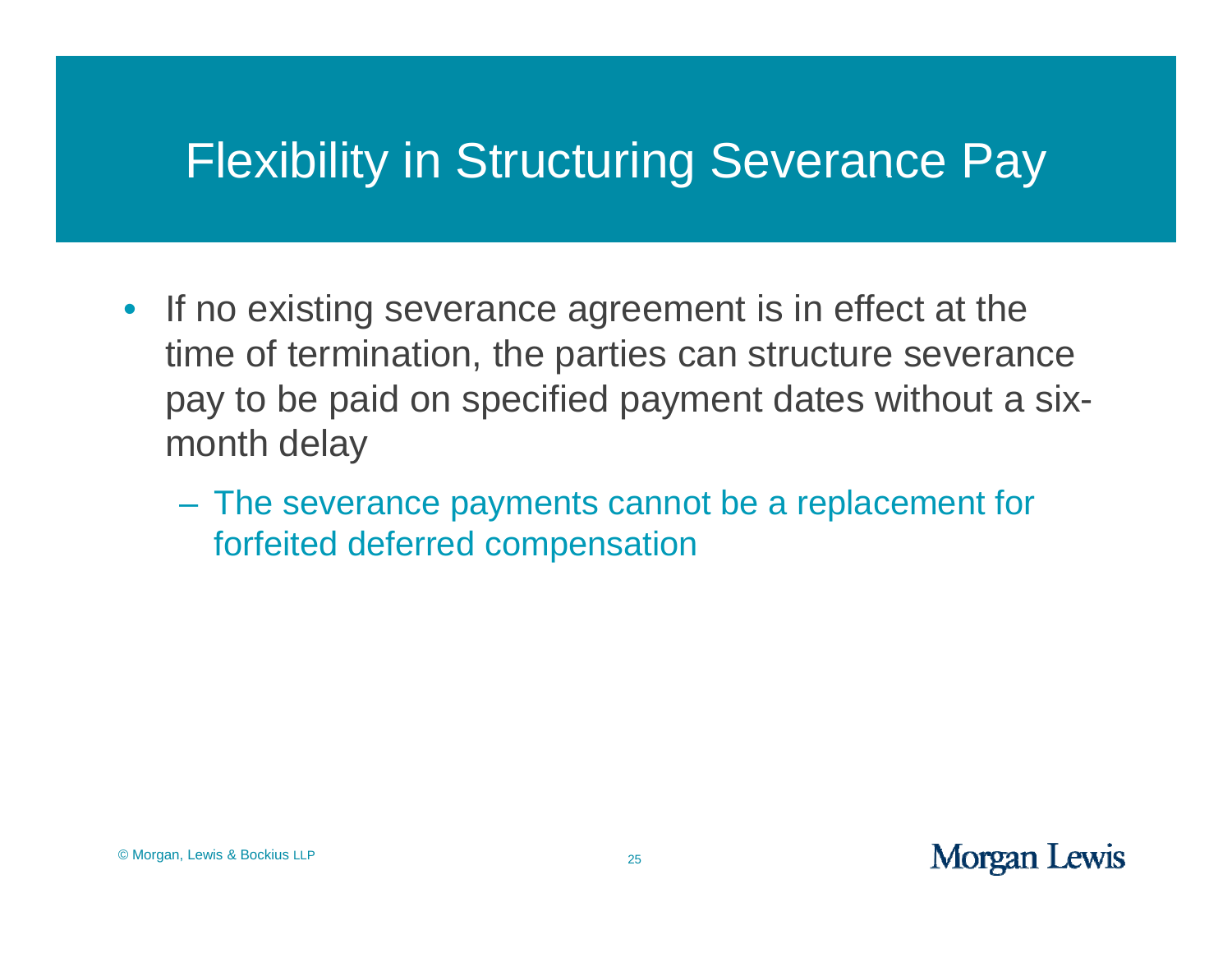#### Flexibility in Structuring Severance Pay

- If no existing severance agreement is in effect at the time of termination, the parties can structure severance pay to be paid on specified payment dates without a sixmonth delay
	- The severance payments cannot be a replacement for forfeited deferred compensation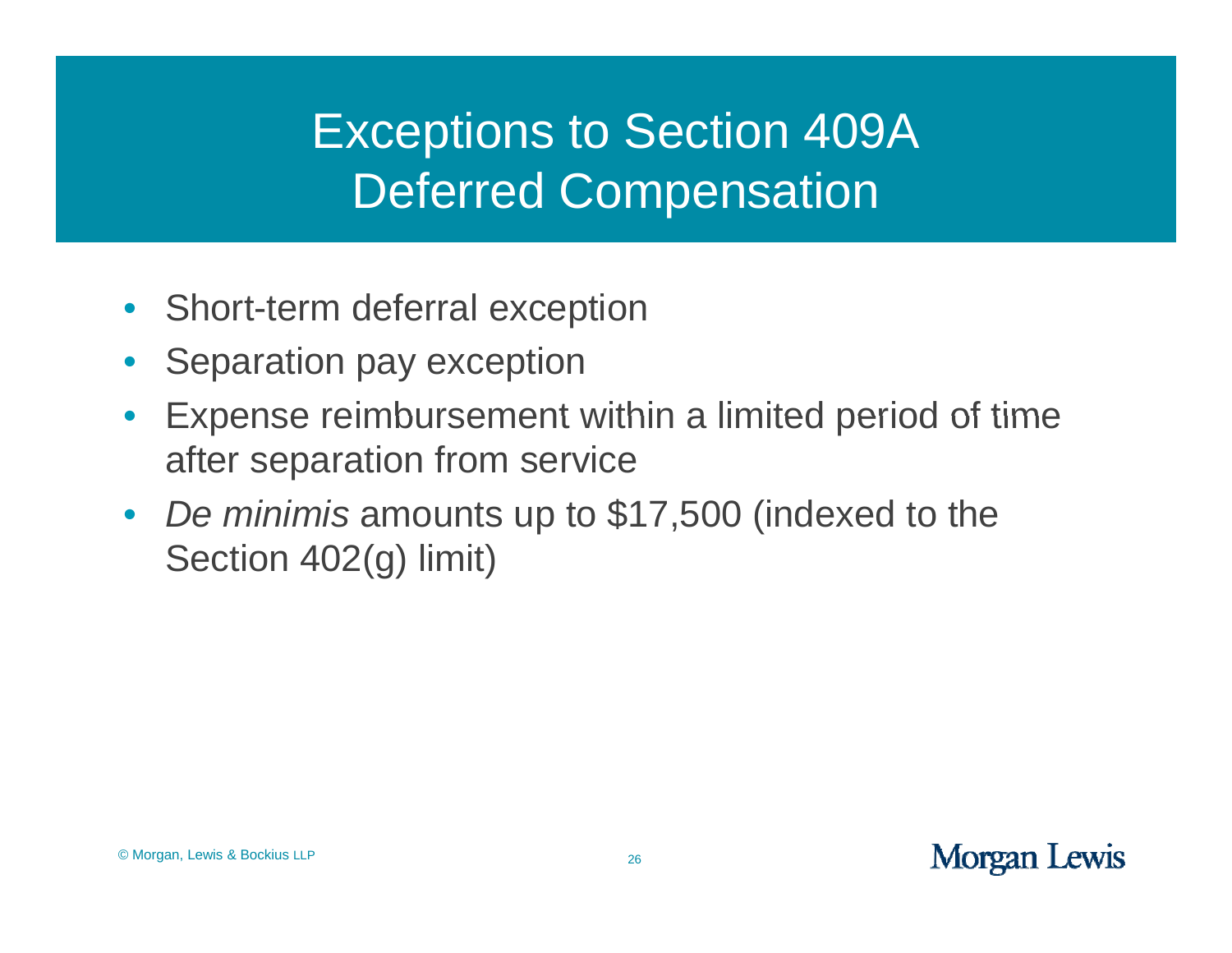# Exceptions to Section 409A **Deferred Compensation**

- Short-term deferral exception
- $\bullet$ Separation pay exception
- $\bullet$ • Expense reimbursement within a limited period of time after separation from service
- $\bullet$ • De *minimis* amounts up to \$17,500 (indexed to the Section 402(g) limit)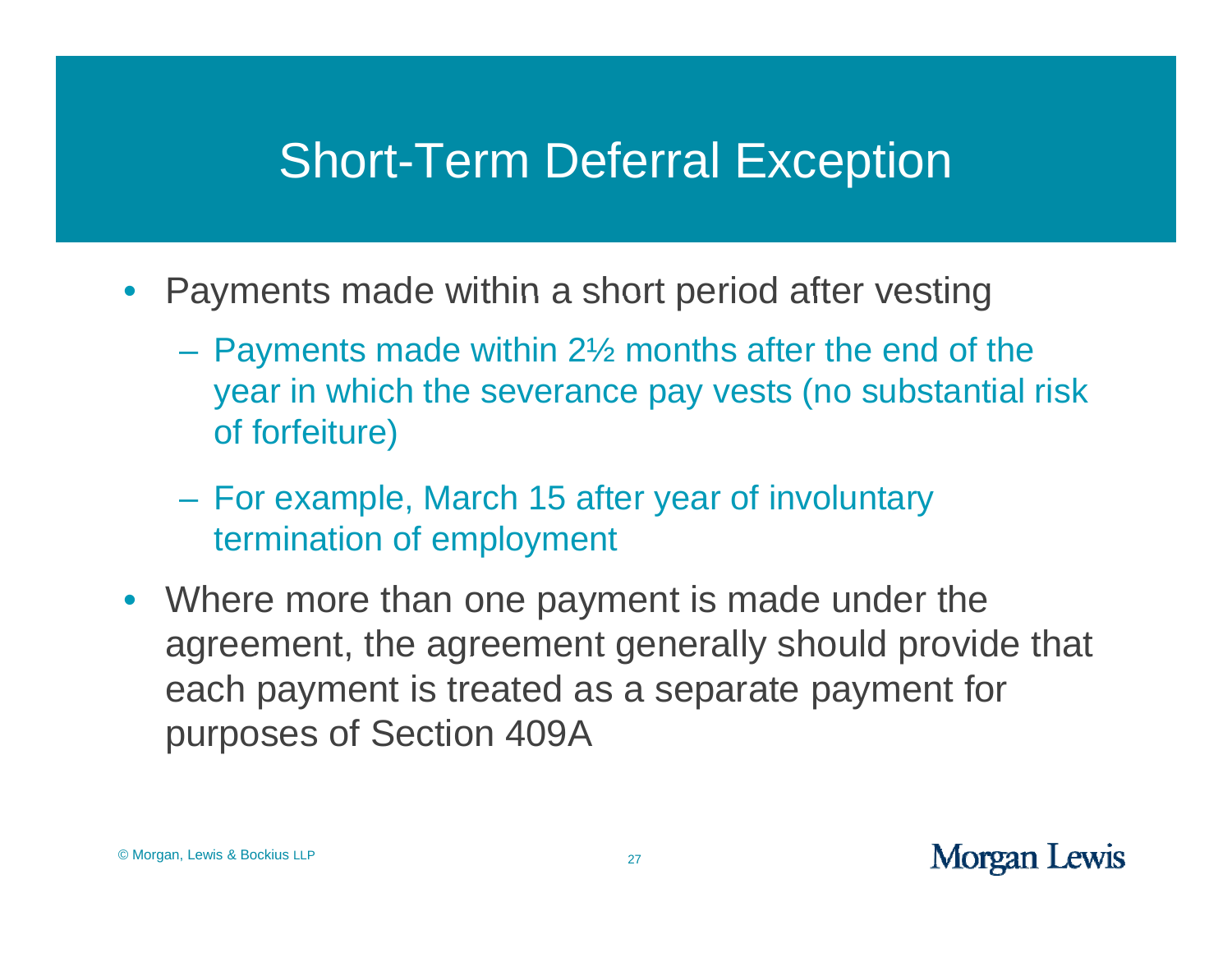#### **Short-Term Deferral Exception**

- • Payments made within <sup>a</sup> short period after vesting
	- Payments made within 2½ months after the end of the year in which the severance pay vests (no substantial risk of forfeiture)
	- For example, March 15 after year of involuntary termination of employment
- Where more than one payment is made under the agreement, the agreement generally should provide that each payment is treated as a separate payment for purposes of Section 409A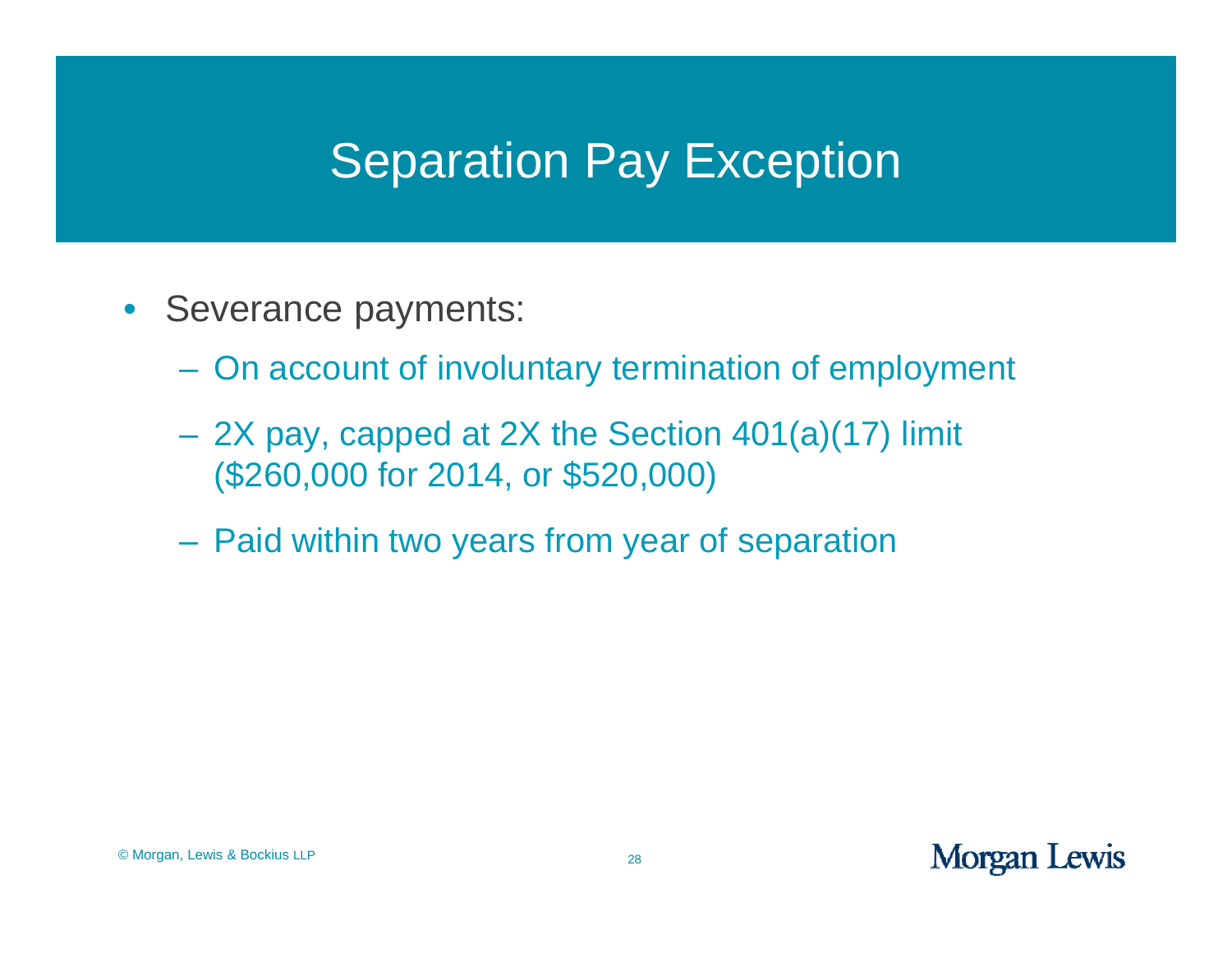#### Separation Pay Exception

- Severance payments:
	- On account of involuntary termination of employment
	- 2X pay, capped at 2X the Section 401(a)(17) limit (\$260,000 for 2014, or \$520,000)
	- –Paid within two years from year of separation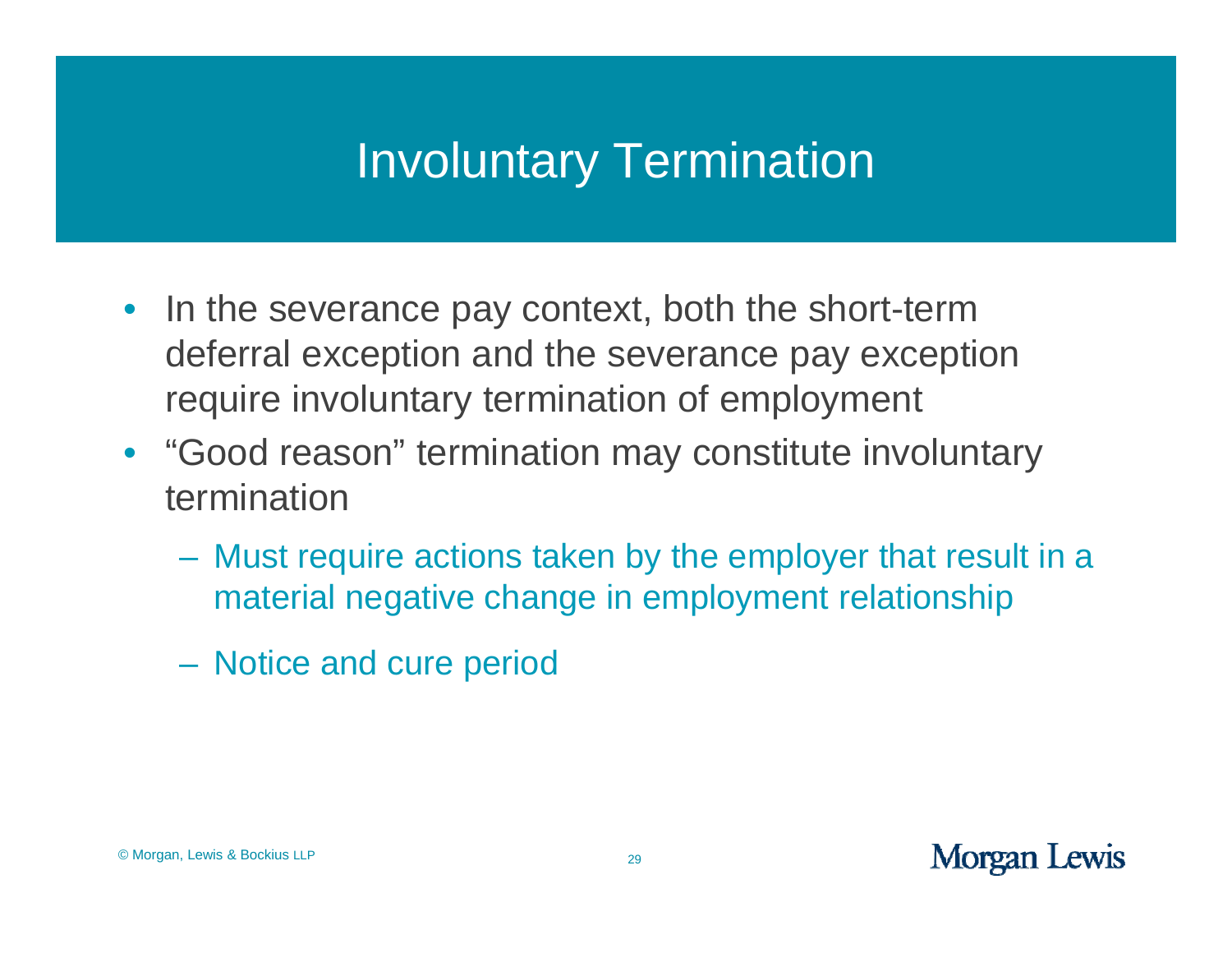#### Involuntary Termination

- In the severance pay context, both the short-term deferral exception and the severance pay exception require involuntary termination of employment
- "Good reason" termination may constitute involuntary termination
	- Must require actions taken by the employer that result in a material negative change in employment relationship
	- Notice and cure period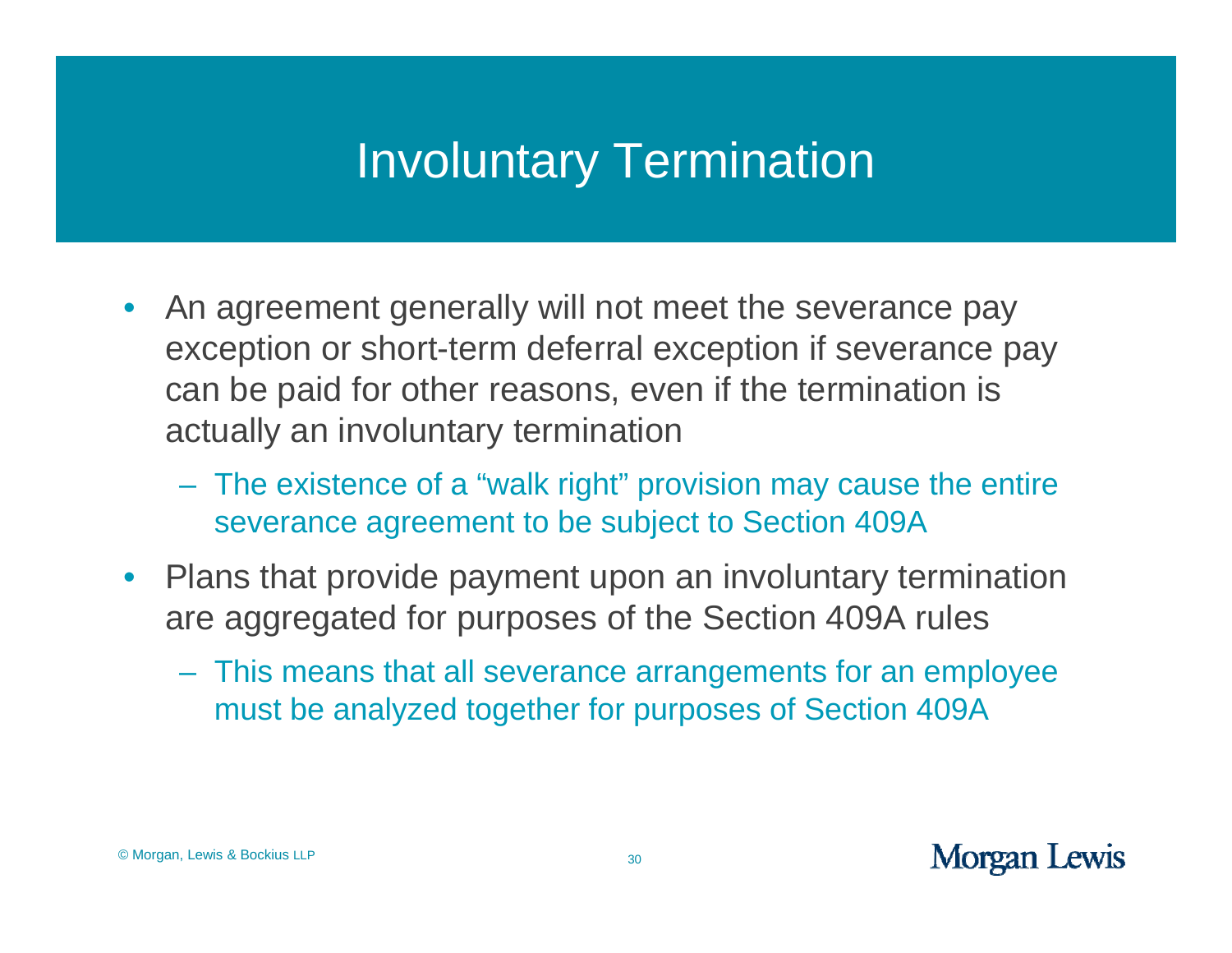#### Involuntary Termination

- $\bullet$ • An agreement generally will not meet the severance pay exception or short-term deferral exception if severance pay can be paid for other reasons, even if the termination is actually an involuntary termination
	- The existence of a "walk right" provision may cause the entire severance agreement to be subject to Section 409A
- Plans that provide payment upon an involuntary termination are aggregated for purposes of the Section 409A rules
	- This means that all severance arrangements for an employee must be analyzed together for purposes of Section 409A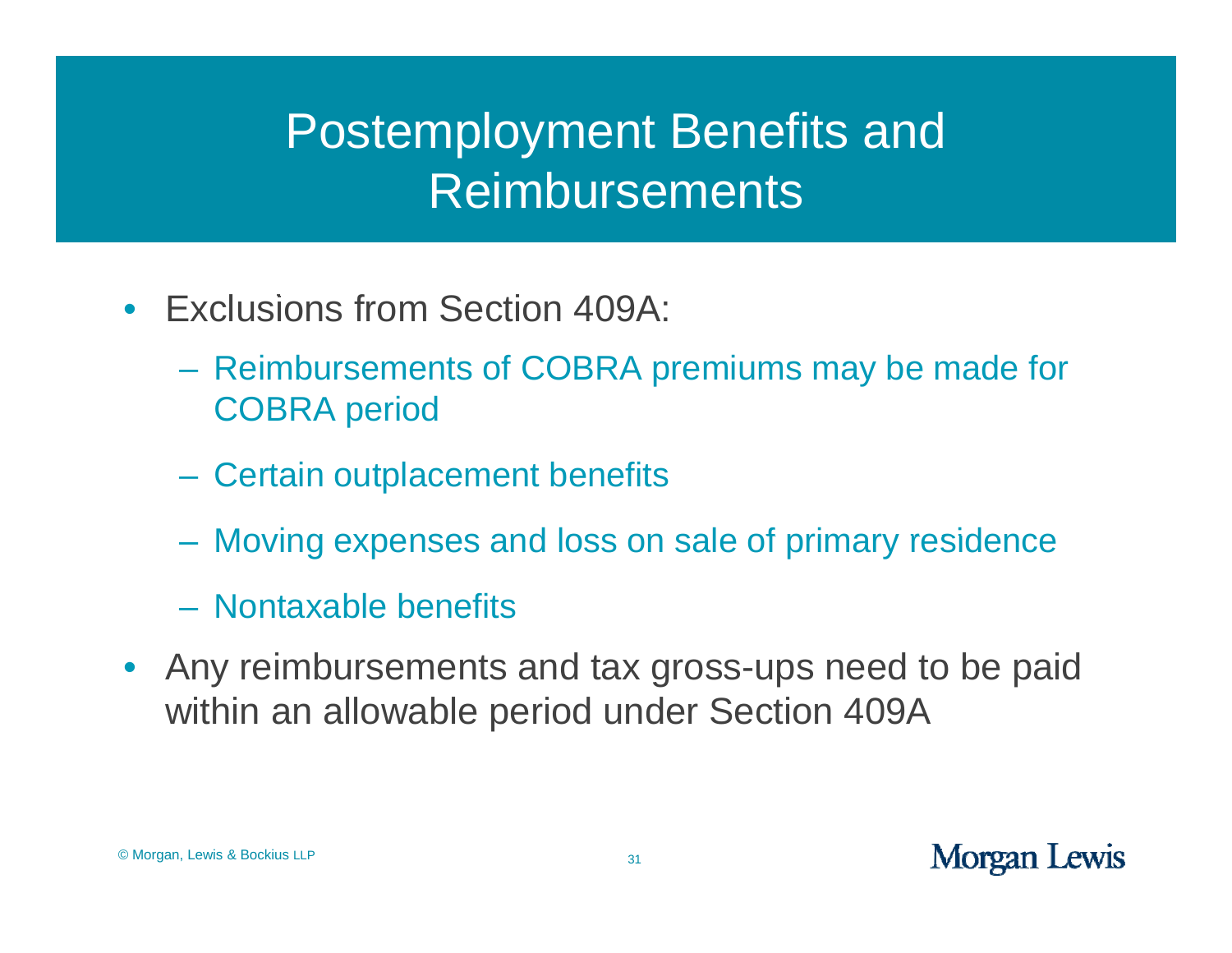- $\bullet$ • Exclusions from Section 409A:
	- Reimbursements of COBRA premiums may be made for COBRA period
	- Certain outplacement benefits
	- –Moving expenses and loss on sale of primary residence
	- Nontaxable benefits
- $\bullet$ • Any reimbursements and tax gross-ups need to be paid within an allowable period under Section 409A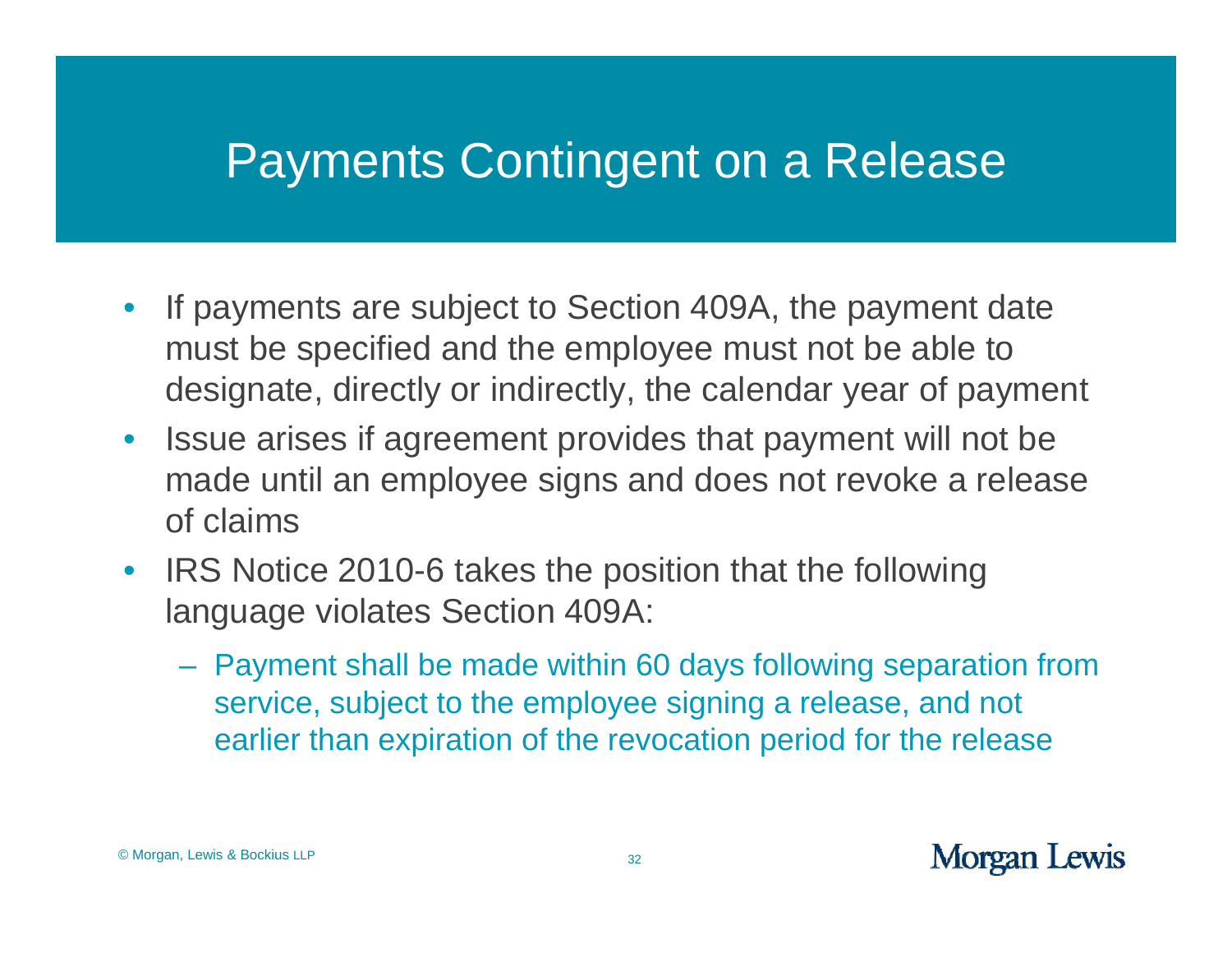#### Payments Contingent on a Release

- $\bullet$ • If payments are subject to Section 409A, the payment date must be specified and the employee must not be able to designate, directly or indirectly, the calendar year of payment
- $\bullet$  Issue arises if agreement provides that payment will not be made until an employee signs and does not revoke a release of claims
- IRS Notice 2010-6 takes the position that the following language violates Section 409A:
	- Payment shall be made within 60 days following separation from service, subject to the employee signing a release, and not earlier than expiration of the revocation period for the release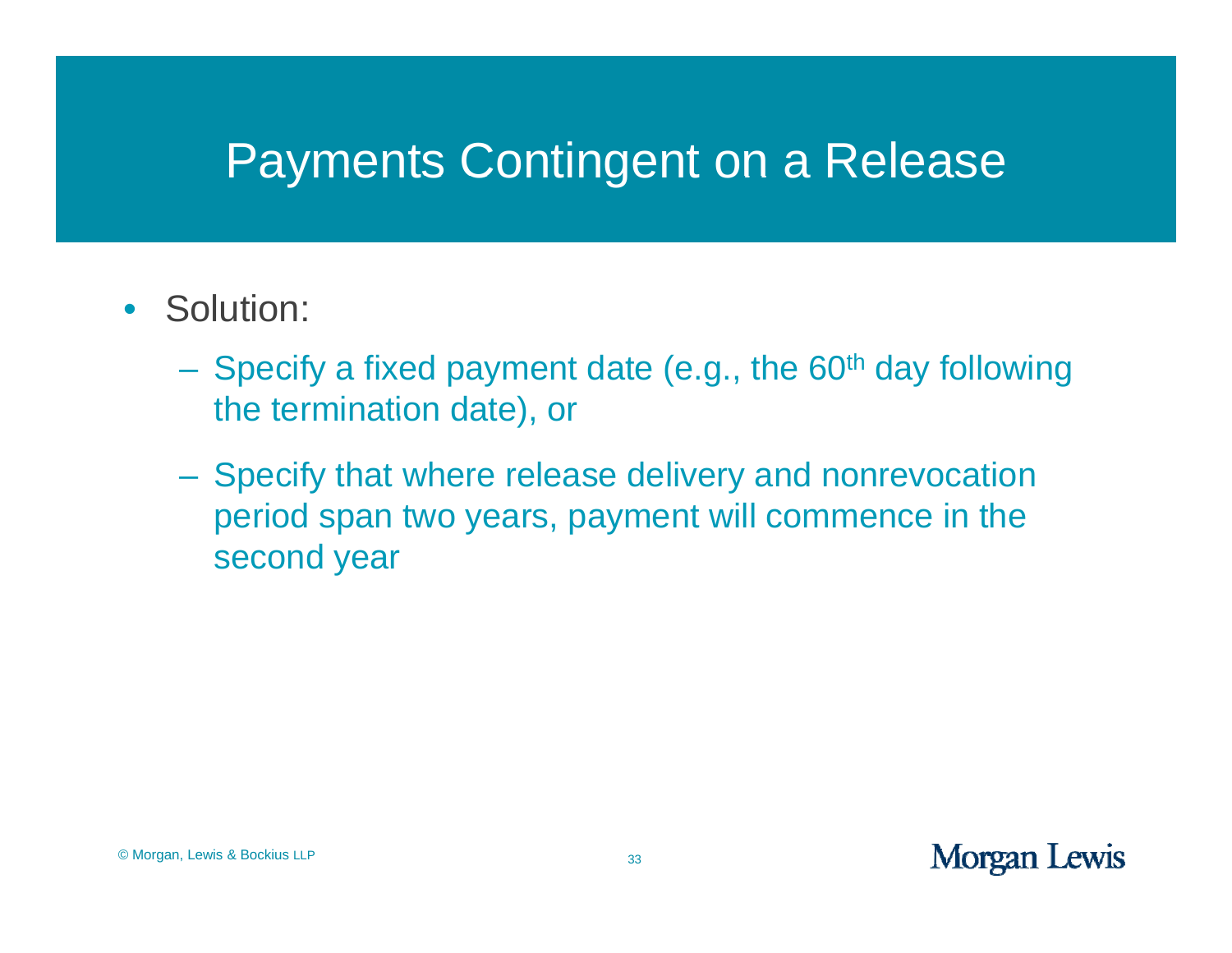#### Payments Contingent on a Release

- Solution:
	- Specify a fixed payment date (e.g., the 60<sup>th</sup> day following the termination date), or
	- Specify that where release delivery and nonrevocation period span two years, payment will commence in the second year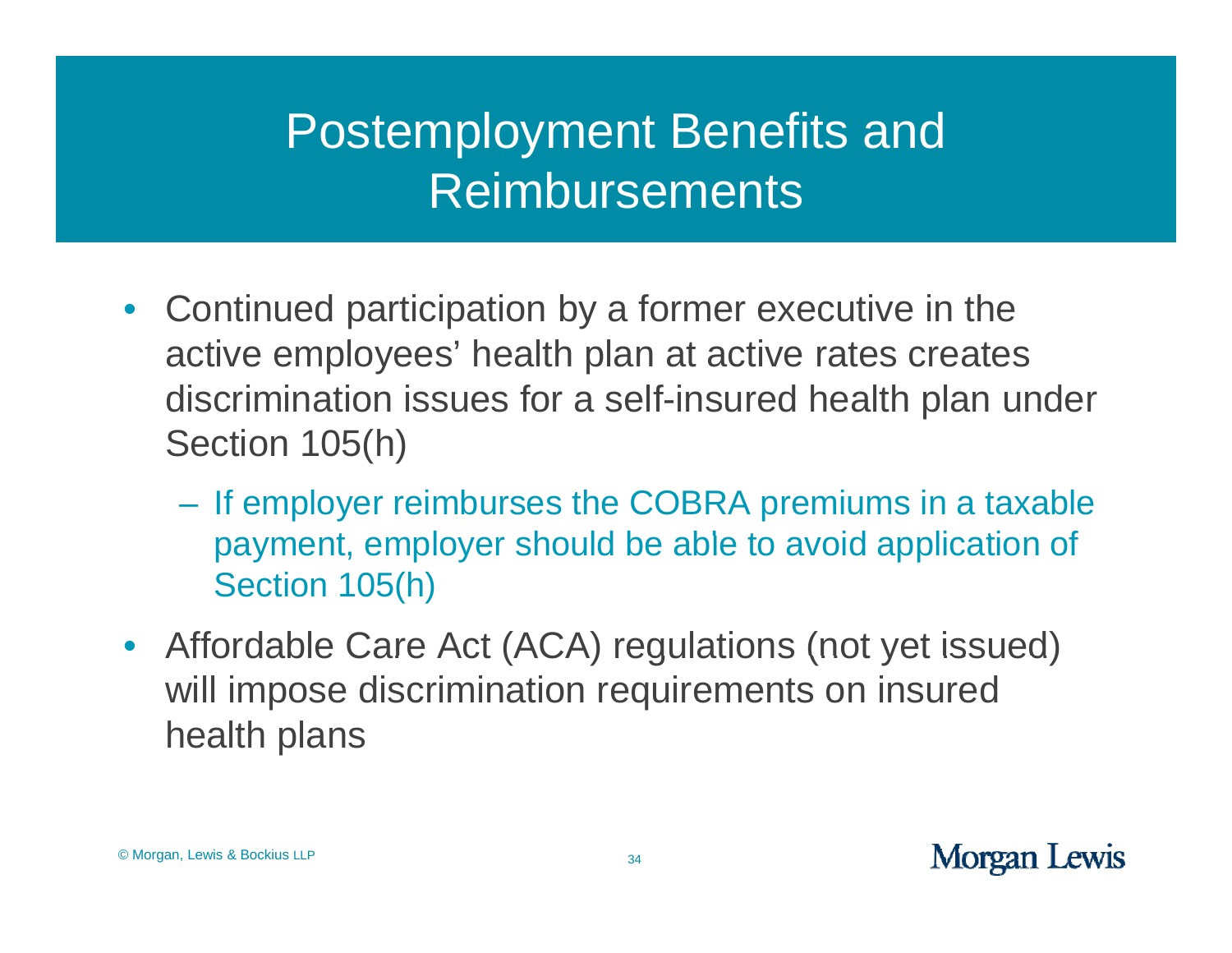- $\bullet$ • Continued participation by a former executive in the active employees' health plan at active rates creates discrimination issues for a sel f-insured health plan under Section 105(h)
	- If employer reimburses the COBRA premiums in a taxable payment, employer should be able to avoid application of Section 105(h)
- Affordable Care Act (ACA) regulations (not yet issued) will impose discrimination requirements on insured health plans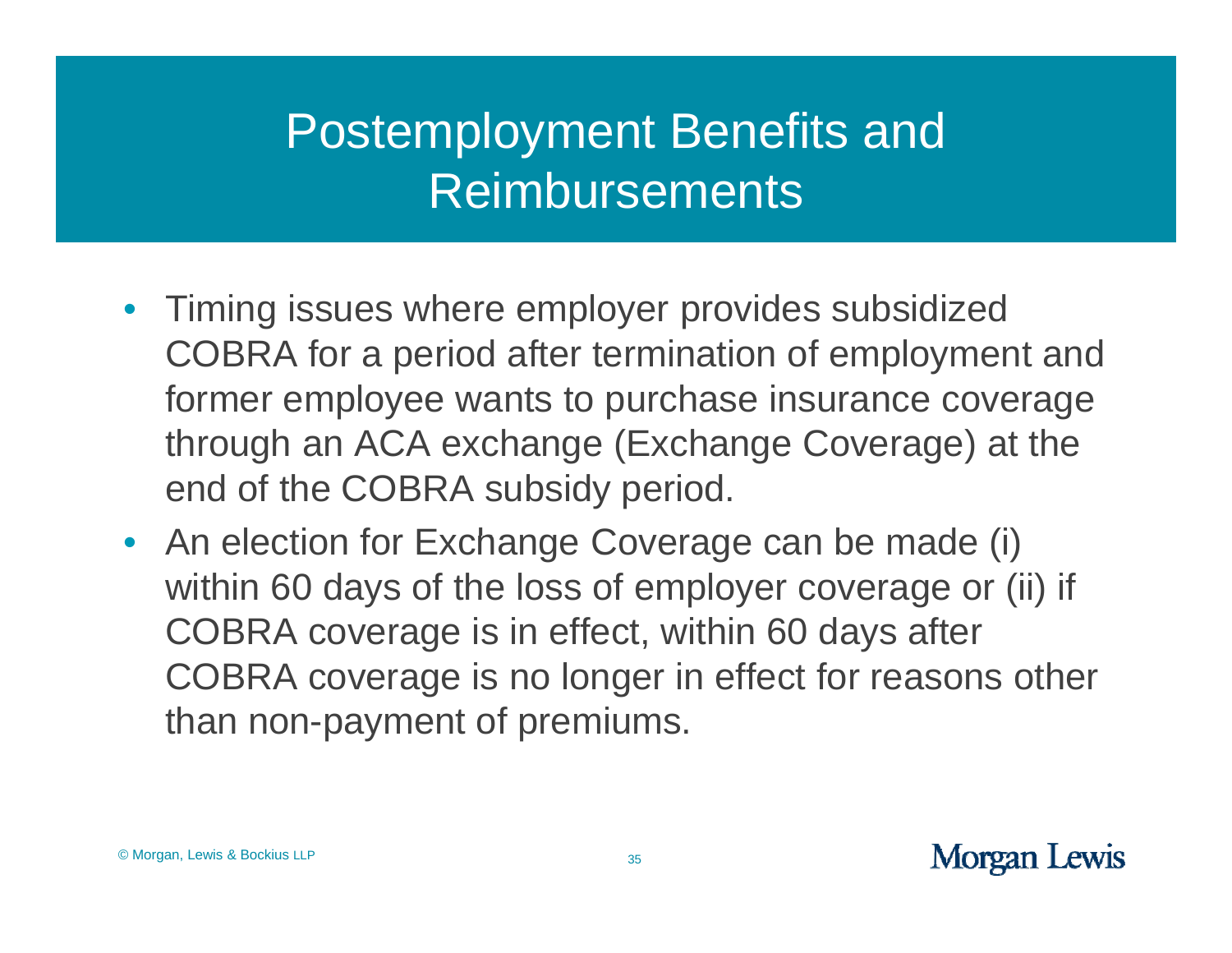- Timing issues where employer provides subsidized COBRA for a period after termination of employment and former employee wants to purchase insurance coverage through an ACA exchange (Exchange Coverage) at the end of the COBRA subsidy period.
- An election for Exchange Coverage can be made (i) within 60 days of the loss of employer coverage or (ii) if COBRA coverage is in effect, within 60 days after COBRA coverage is no longer in effect for reasons other than non-payment of premiums.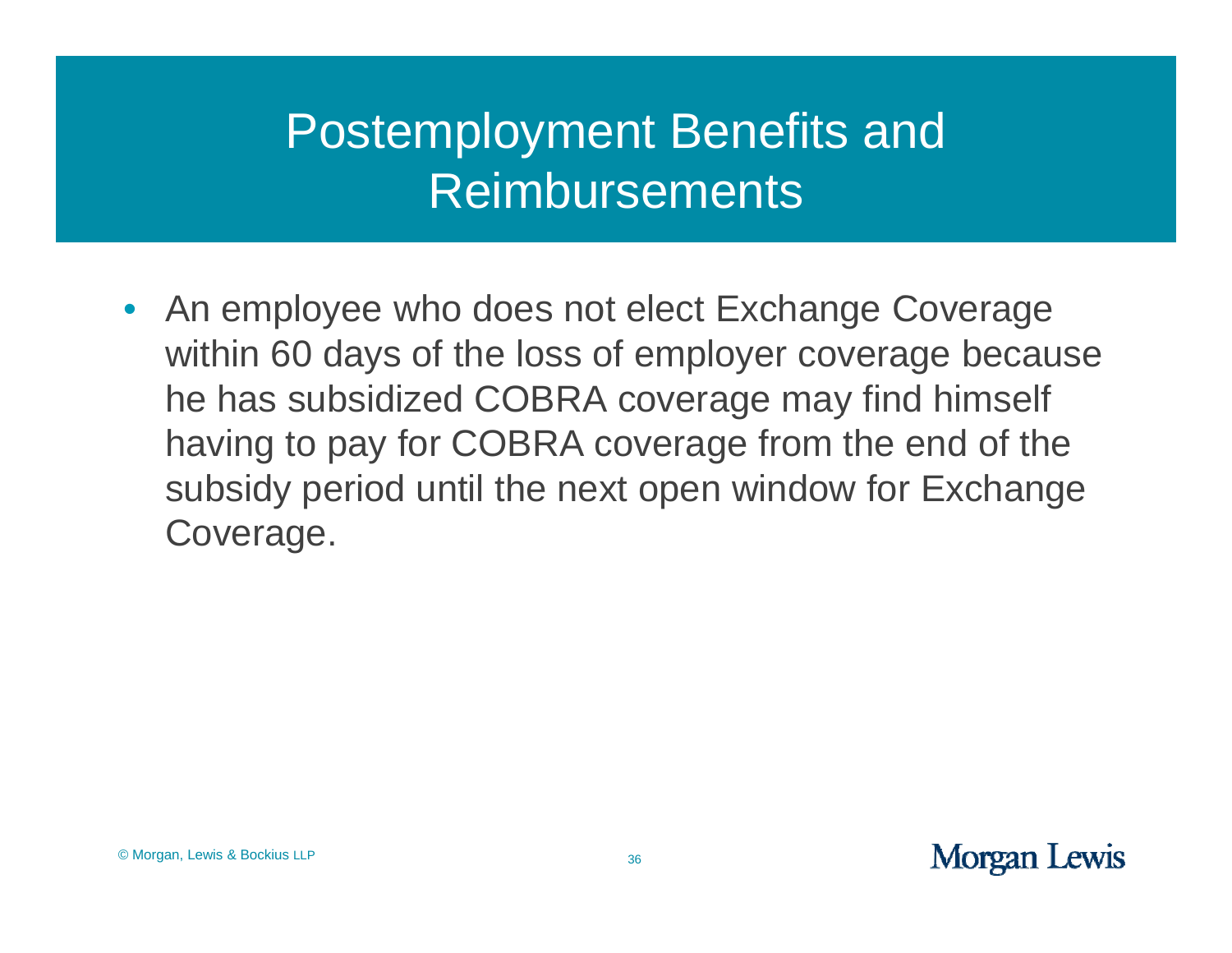• An employee who does not elect Exchange Coverage within 60 days of the loss of employer coverage because he has subsidized COBRA coverage may find himself having to pay for COBRA coverage from the end of the subsidy period until the next open window for Exchange Coverage.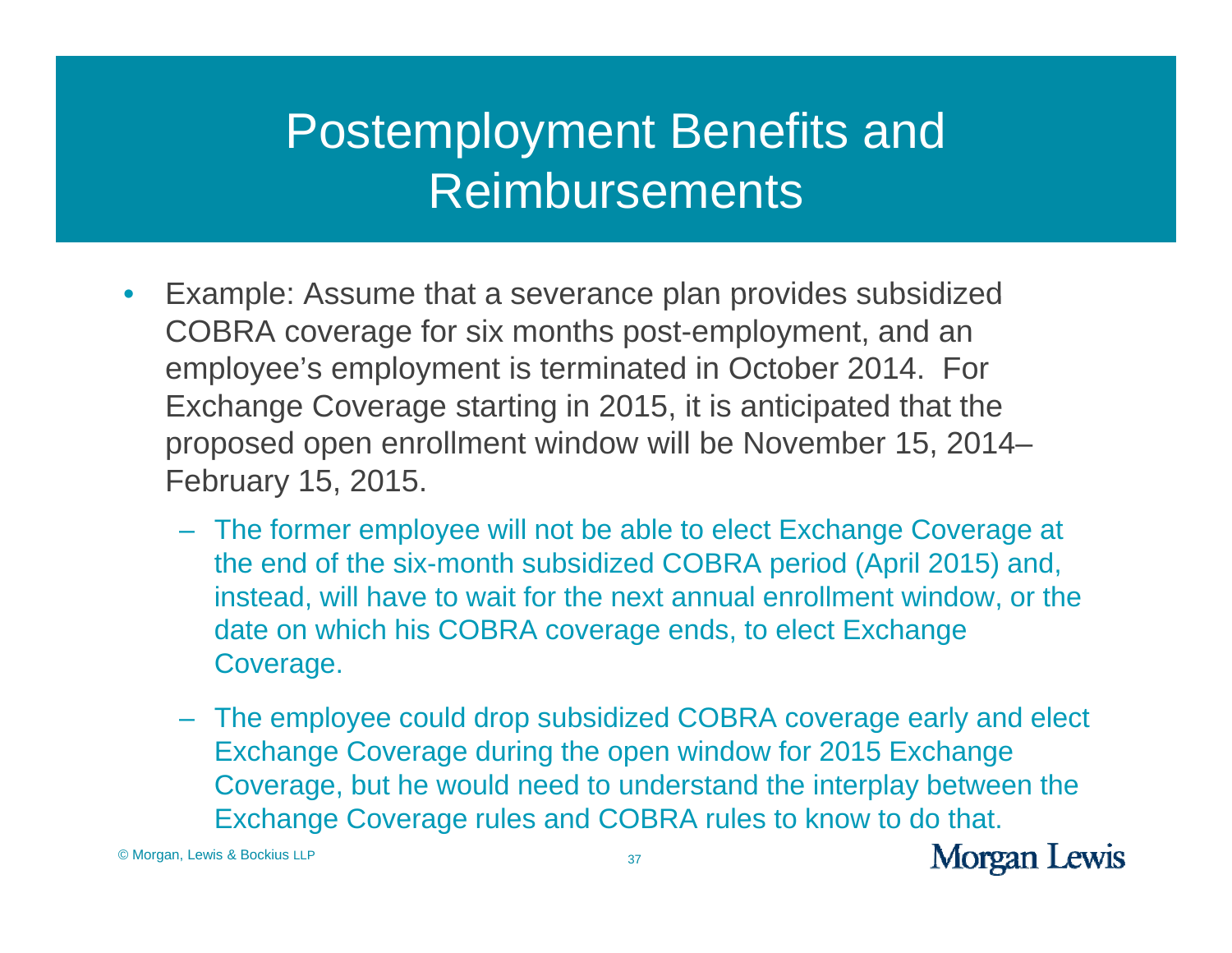- $\bullet$  Example: Assume that <sup>a</sup> severance plan provides subsidized COBRA coverage for six months post-employment, and an employee's employment is terminated in October 2014. For Exchange Coverage starting in 2015, it is anticipated that the proposed open enrollment window will be November 15, 2014– February 15, 2015.
	- The former employee will not be able to elect Exchange Coverage at the end of the six-month subsidized COBRA period (April 2015) and, instead, will have to wait for the next annual enrollment window, or the date on which his COBRA coverage ends, to elect Exchange Coverage.
	- The employee could drop subsidized COBRA coverage early and elect Exchange Coverage during the open window for 2015 Exchange Coverage, but he would need to understand the interplay between the Exchange Coverage rules and COBRA rules to know to do that.

© Morgan, Lewis & Bockius LLP

**Morgan Lewis**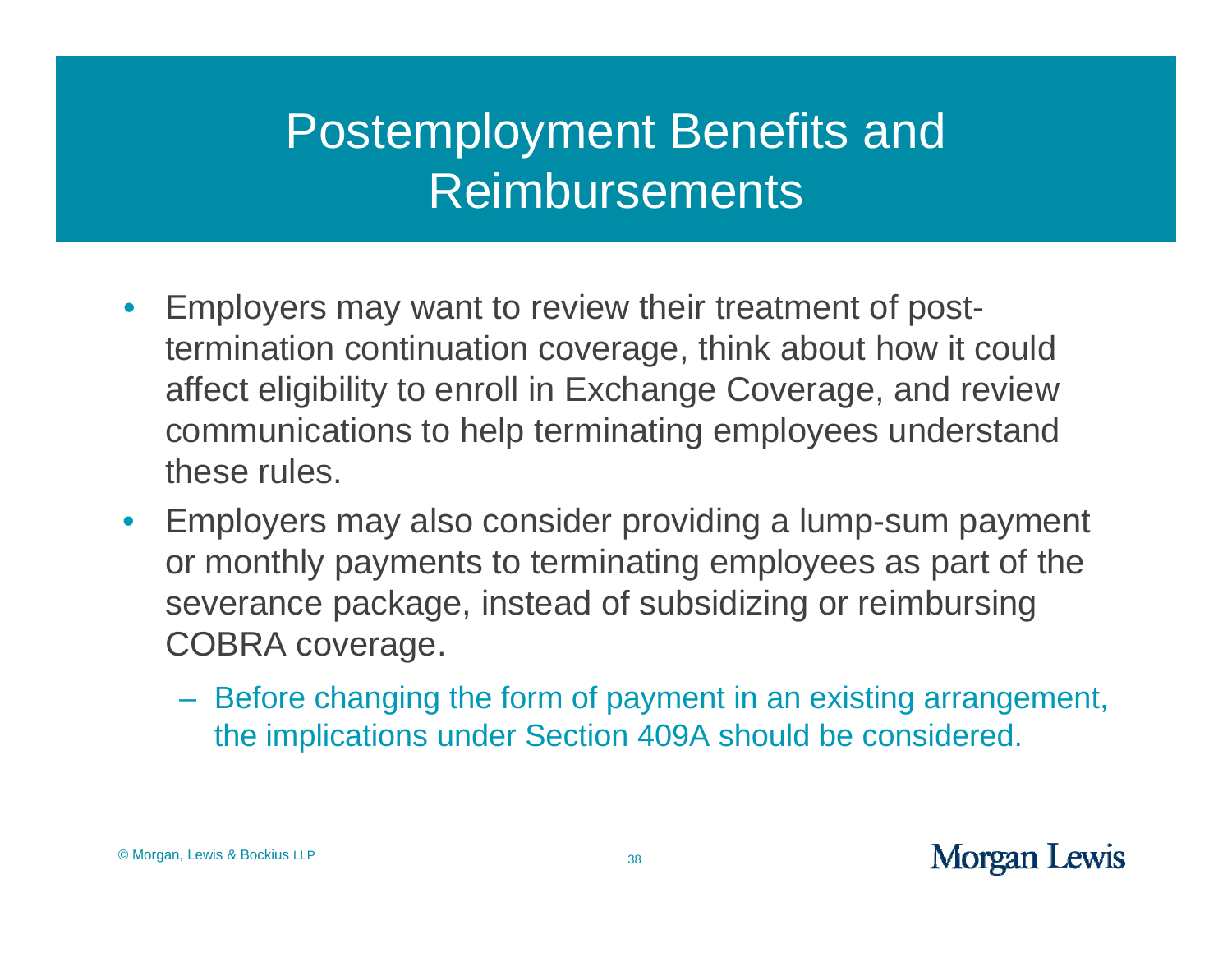- $\bullet$ • Employers may want to review their treatment of posttermination continuation coverage, think about how it could affect eligibility to enroll in Exchange Coverage, and review communications to help terminating employees understand these rules.
- $\bullet$  Employers may also consider providing a lump-sum payment or monthly payments to terminating employees as part of the severance package, instead of subsidizing or reimbursing COBRA coverage.
	- Before changing the form of payment in an existing arrangement, the implications under Section 409A should be considered.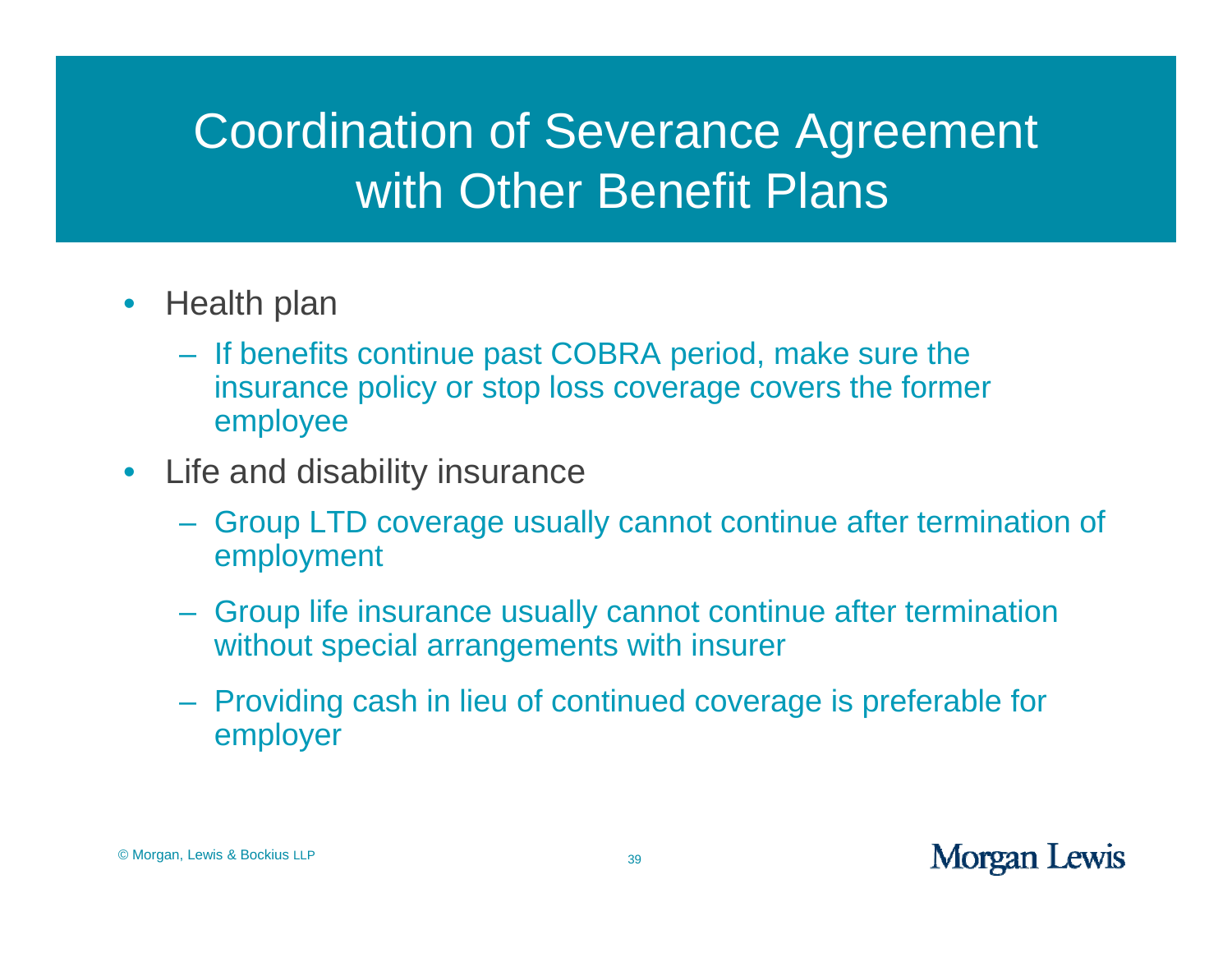## Coordination of Severance Agreement with Other Benefit Plans

- $\bullet$ Health plan
	- If benefits continue past COBRA period, make sure the insurance policy or stop loss coverage covers the former employee
- Life and disability insurance
	- Group LTD coverage usually cannot continue after termination of employment
	- Group life insurance usually cannot continue after termination without special arrangements with insurer
	- Providing cash in lieu of continued coverage is preferable for employer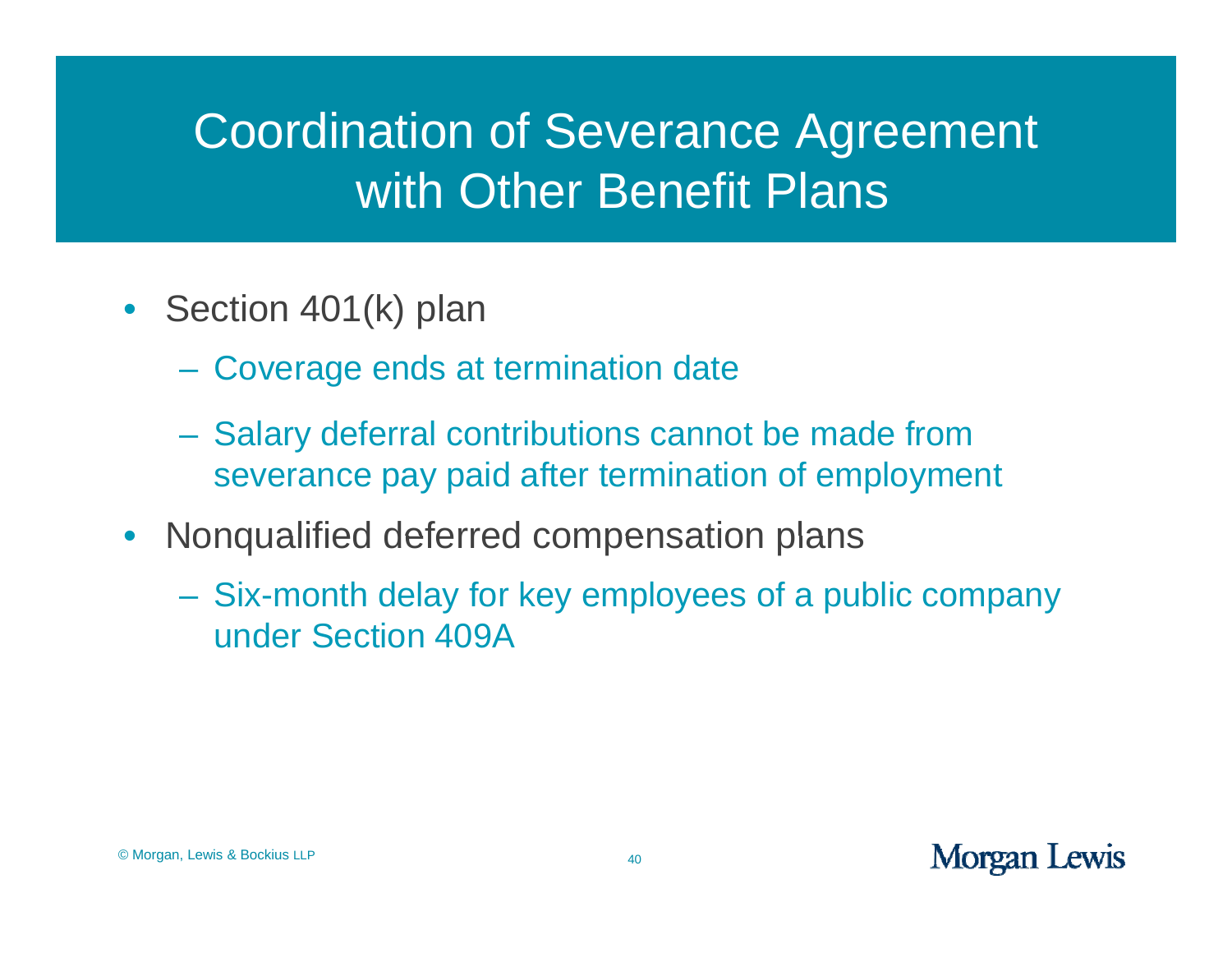## Coordination of Severance Agreement with Other Benefit Plans

- Section 401(k) plan
	- Coverage ends at termination date
	- Salary deferral contributions cannot be made from severance pay paid after termination of employment
- Nonqualified deferred compensation plans
	- Six-month delay for key employees of a public company under Section 409A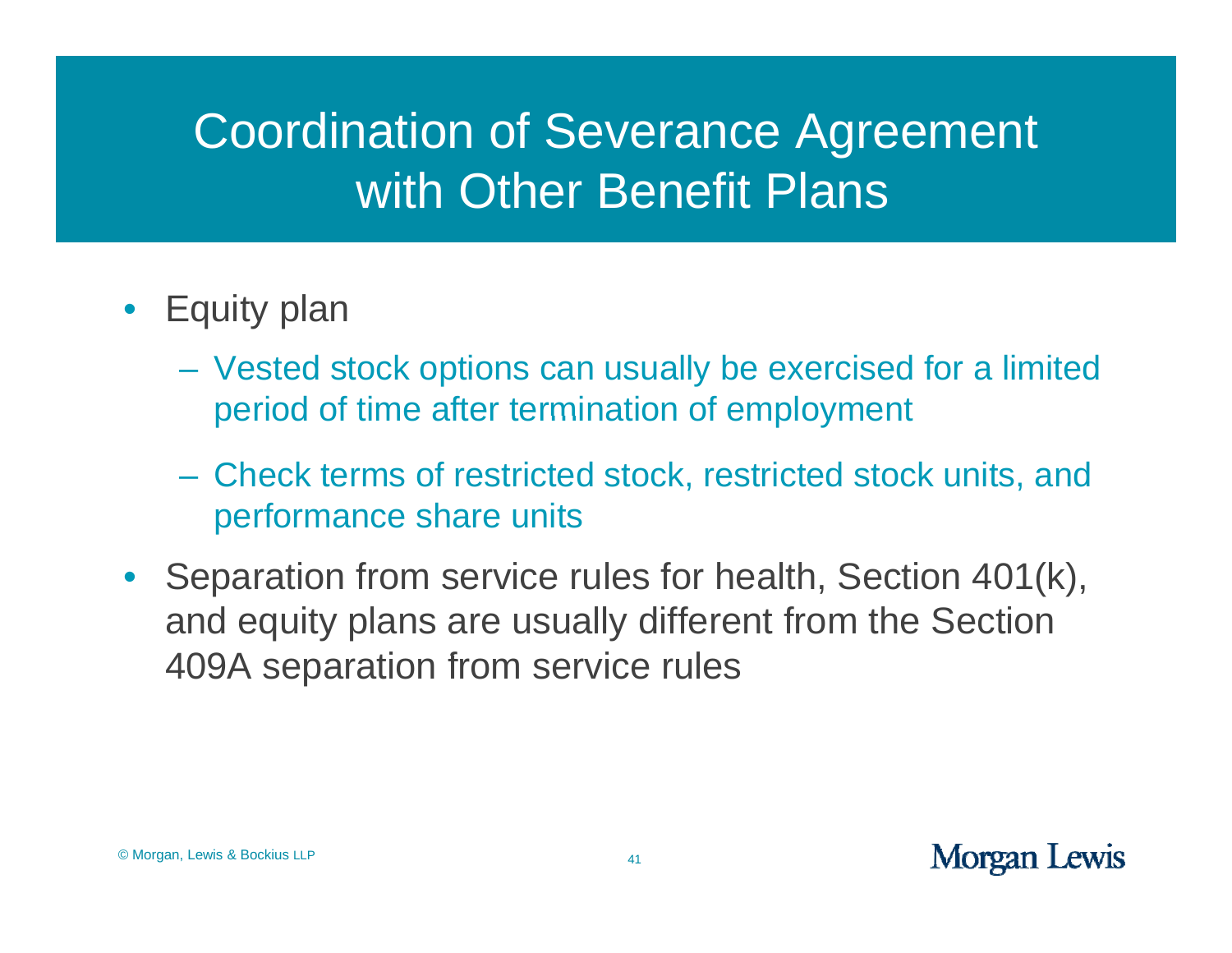## Coordination of Severance Agreement with Other Benefit Plans

- Equity plan
	- Vested stock options can usually be exercised for a limited period of time after termination of employment
	- Check terms of restricted stock, restricted stock units, and performance share units
- Separation from service rules for health, Section 401(k), and equity plans are usually different from the Section 409A separation from service rules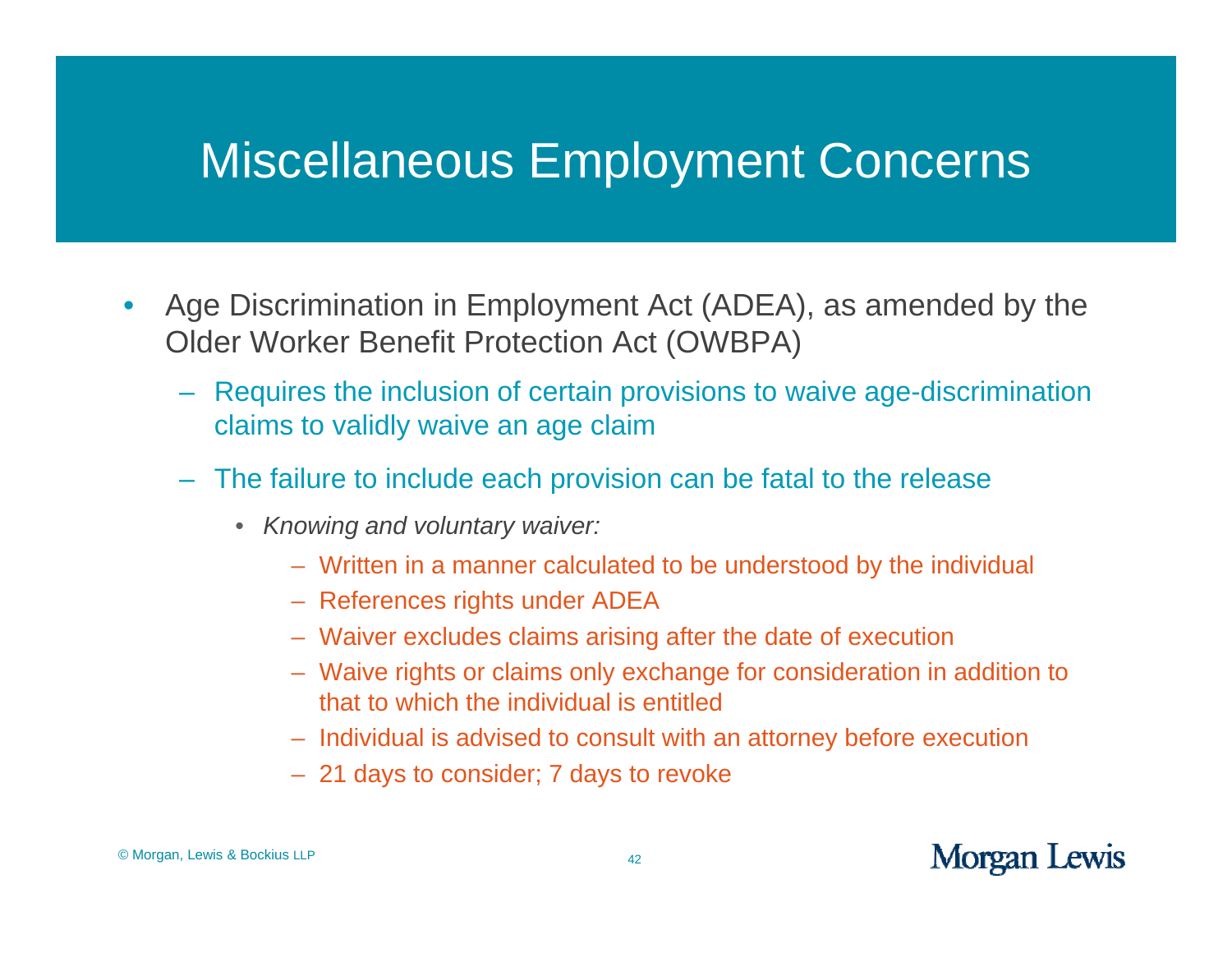- $\bullet$ • Age Discrimination in Employment Act (ADEA), as amended by the Older Worker Benefit Protection Act (OWBPA)
	- Requires the inclusion of certain provisions to waive age-discrimination claims to validly waive an age claim
	- The failure to include each provision can be fatal to the release
		- *Knowin g y and voluntary waiver:*
			- Written in a manner calculated to be understood by the individual
			- References rights under ADEA
			- Waiver excludes claims arising after the date of execution
			- Waive rights or claims only exchange for consideration in addition to that to which the individual is entitled
			- Individual is advised to consult with an attorney before execution
			- 21 days to consider; 7 days to revoke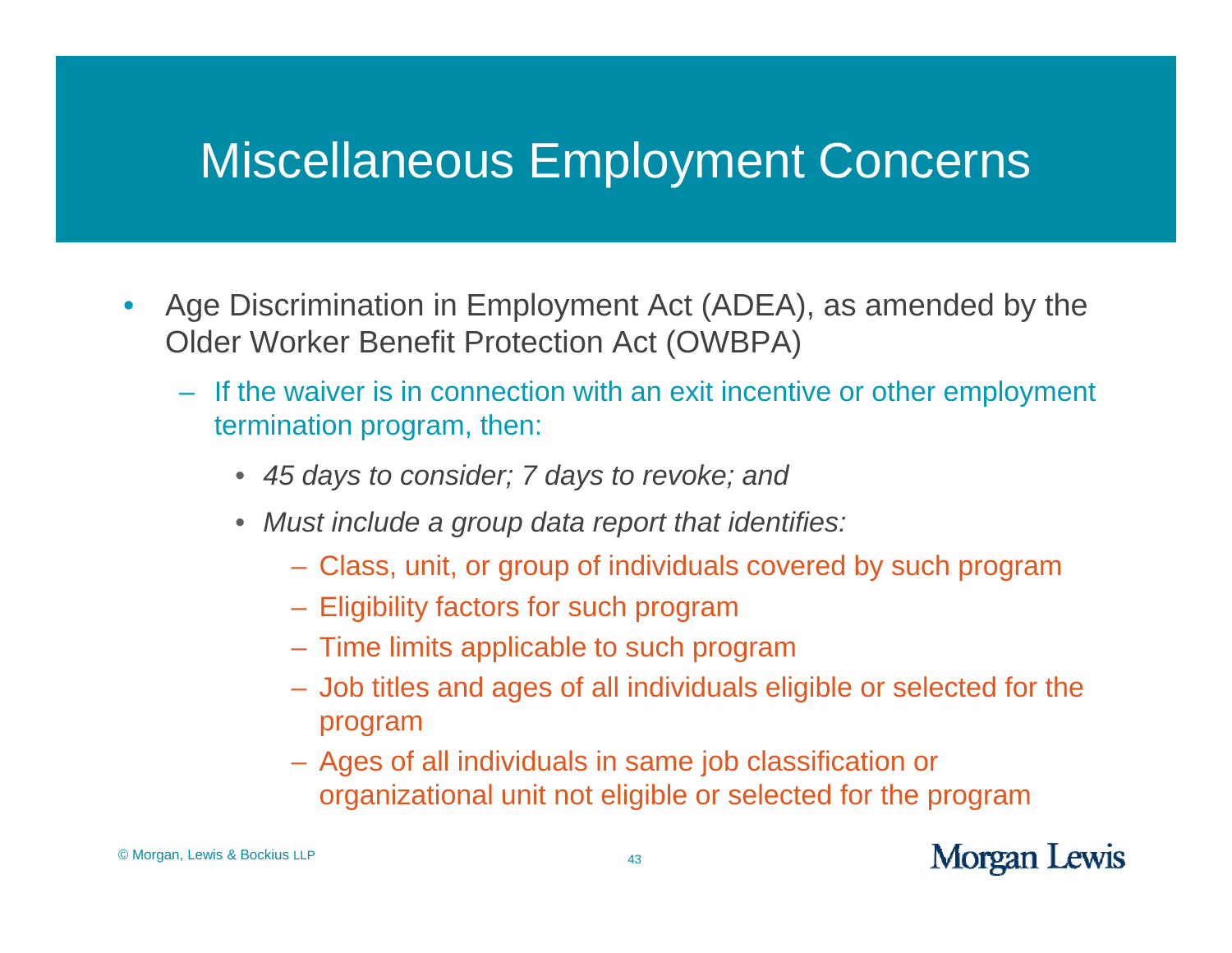- $\bullet$ • Age Discrimination in Employment Act (ADEA), as amended by the Older Worker Benefit Protection Act (OWBPA)
	- If the waiver is in connection with an exit incentive or other employment termination program, then:
		- *45 days to consider; 7 days to revoke; and*
		- *Must include a gp p rou data report that identifies:*
			- Class, unit, or group of individuals covered by such program
			- Eligibility factors for such program
			- $-$  Time limits applicable to such program
			- Job titles and ages of all individuals eligible or selected for the program
			- A ges of all individuals in same job classification or g j organizational unit not eligible or selected for the program

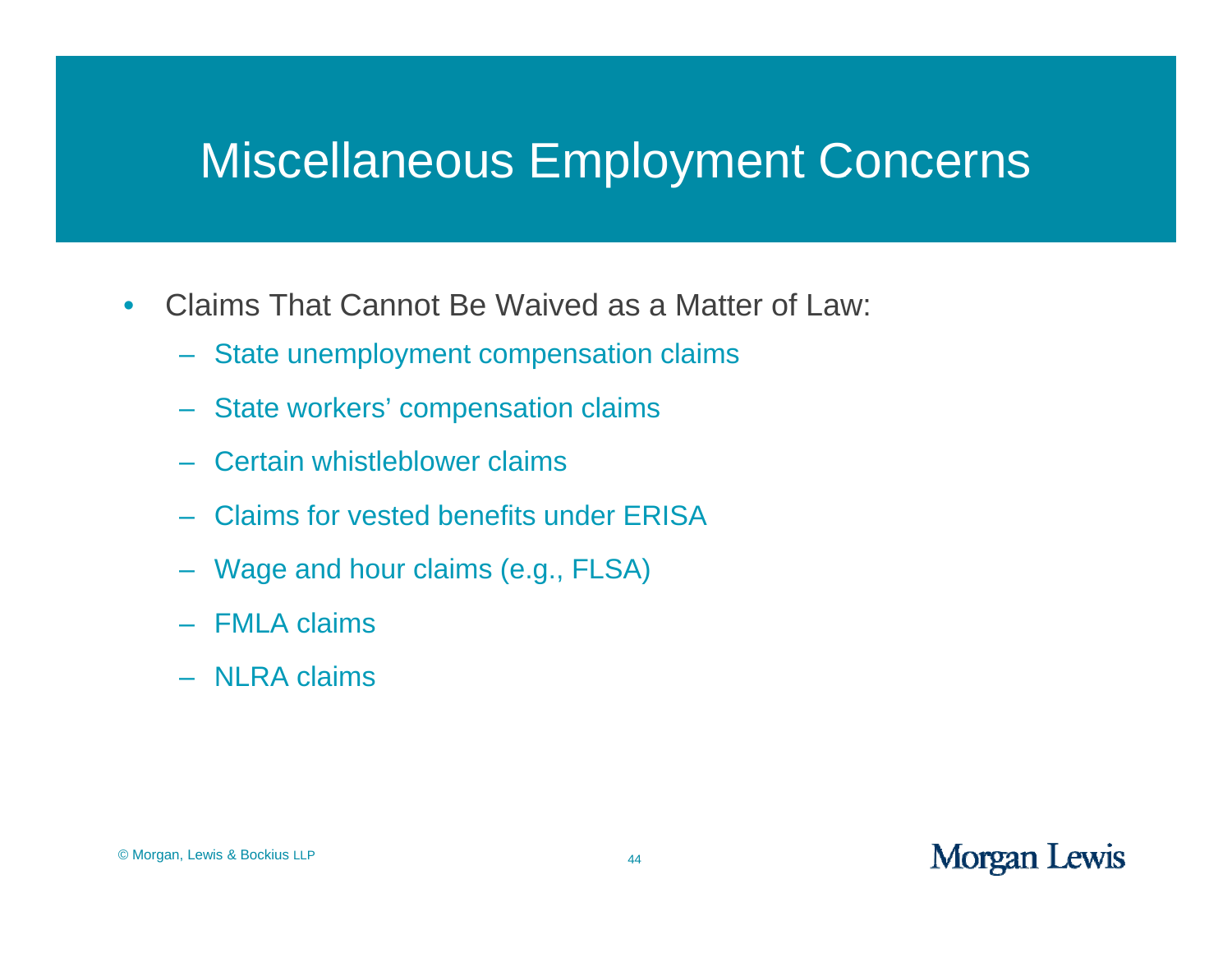- $\bullet$ • Claims That Cannot Be Waived as a Matter of Law:
	- State unemployment compensation claims
	- State workers' compensation claims
	- Certain whistleblower claims
	- Claims for vested benefits under ERISA
	- Wage and hour claims (e.g., FLSA)
	- FMLA claims
	- NLRA claims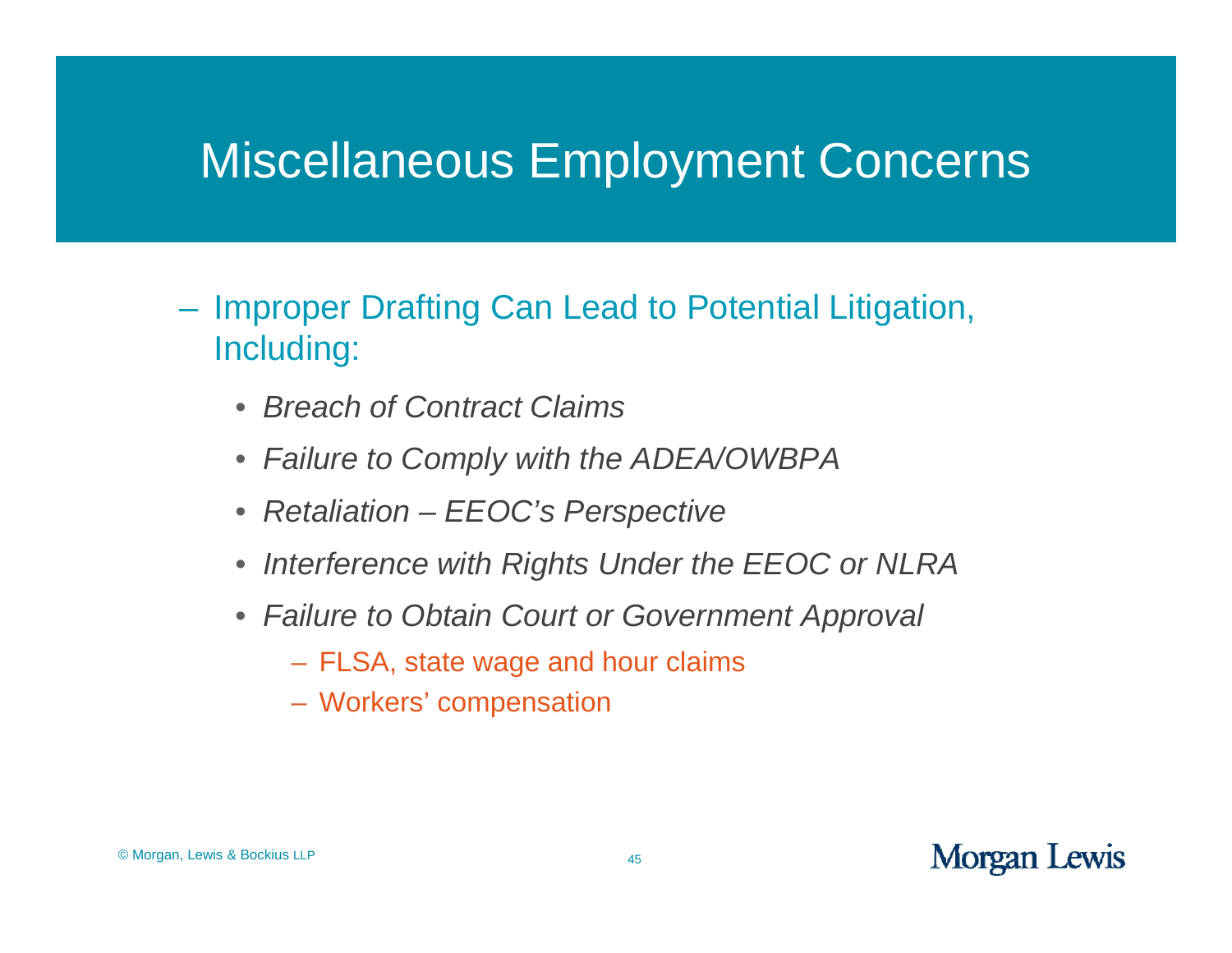- Improper Drafting Can Lead to Potential Litigation, Including:
	- $\bullet$ *Breach of Contract Claims*
	- *Failure to Comply with the ADEA/OWBPA*
	- *Retaliation – EEOC's Perspective*
	- $\bullet$ *Interference with Rights Under the EEOC or NLRA*
	- *Failure to Obtain Court or Government Approval*
		- FLSA, state wage and hour claims
		- Workers' compensation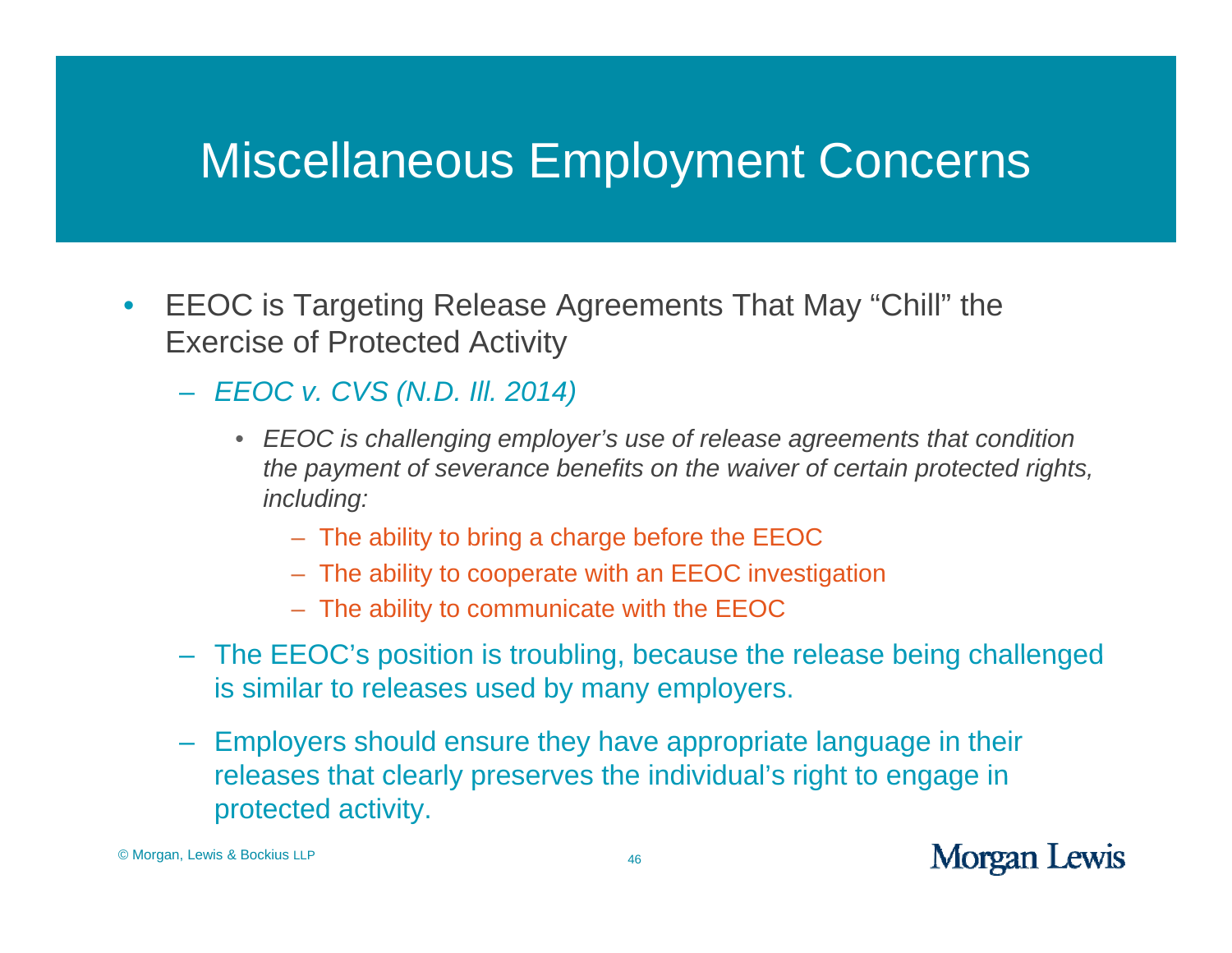- $\bullet$  $\bullet$  EEOC is Targeting Release Agreements That May "Chill" the Exercise of Protected Activity
	- *EEOC v. CVS (N.D. Ill. 2014)*
		- *EEOC is challenging employer's use of release agreements that condition the payment of severance benefits on the waiver of certain protected rights, including:*
			- The ability to bring <sup>a</sup> charge before the EEOC
			- The ability to cooperate with an EEOC investigation
			- The ability to communicate with the EEOC
	- The EEOC's position is troubling, because the release being challenged is similar to releases used by many employers.
	- Employers should ensure they have appropriate language in their releases that clearly preserves the individual's right to engage in protected activity.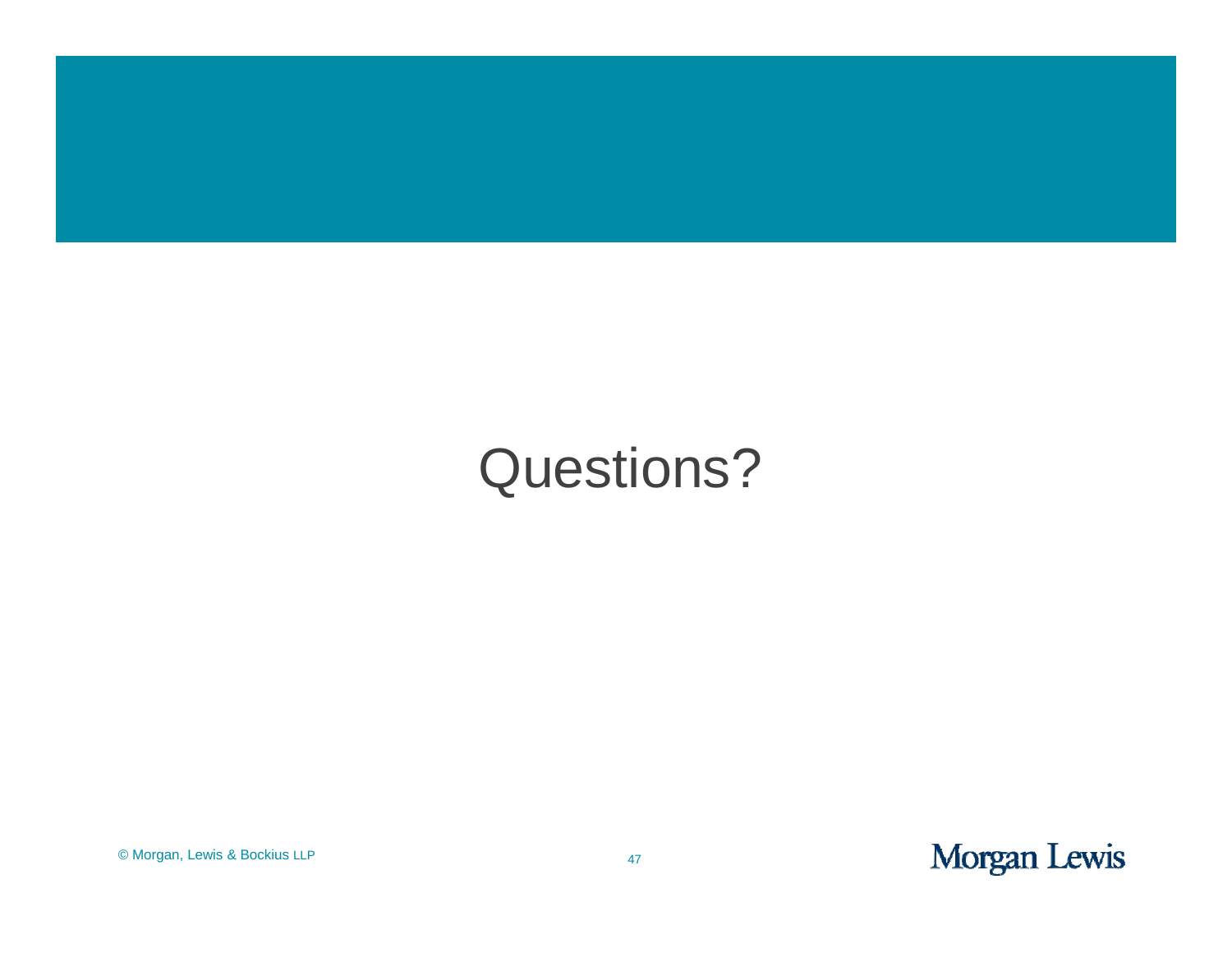

# Questions?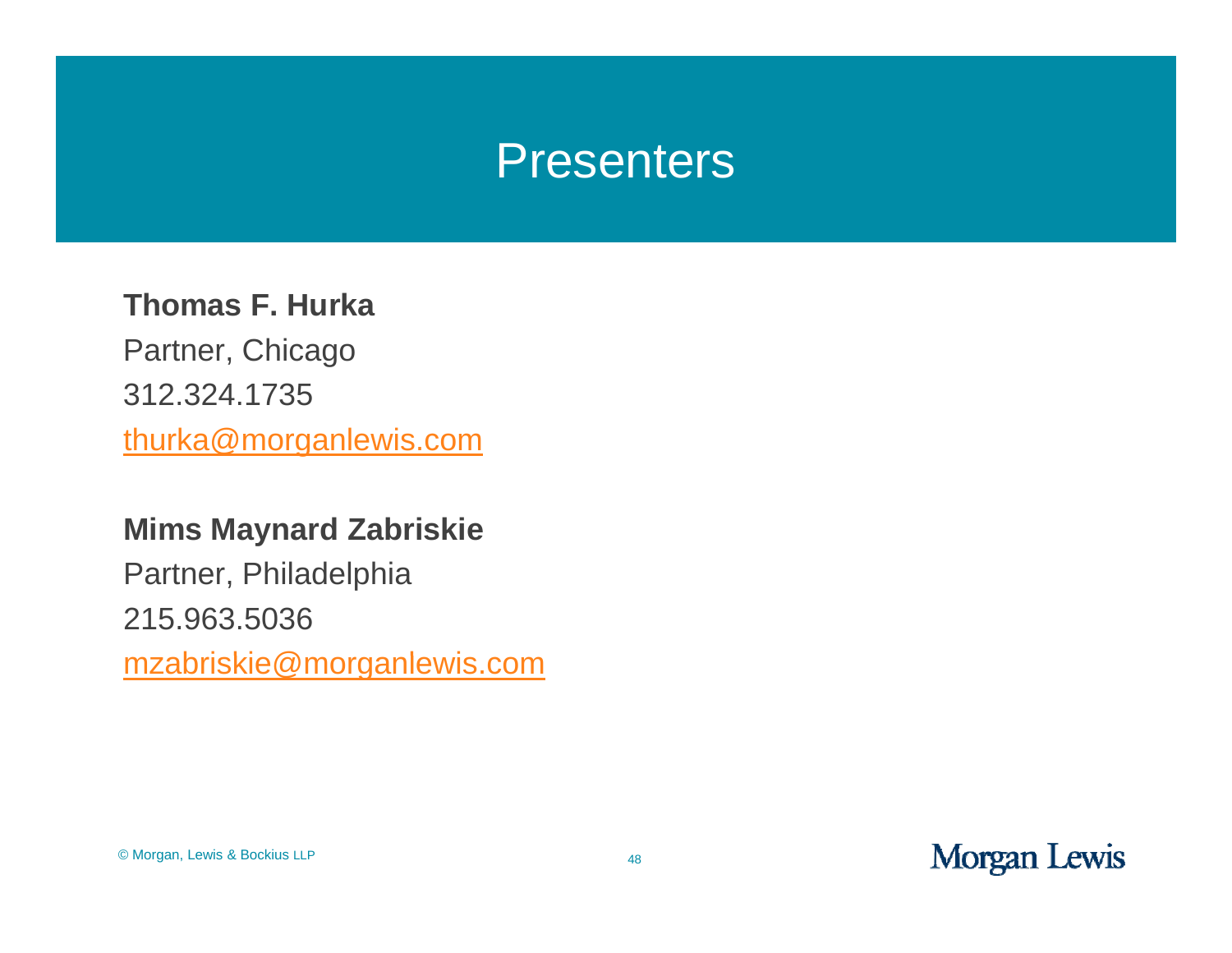#### Presenters

#### **Th F H k Thomas F. Hurka**

Partner, Chicago 312.324.1735 thurka@morganlewis.com

#### **Mims Maynard Zabriskie**

Partner, Philadelphia 215.963.5036 mzabriskie@morganlewis.com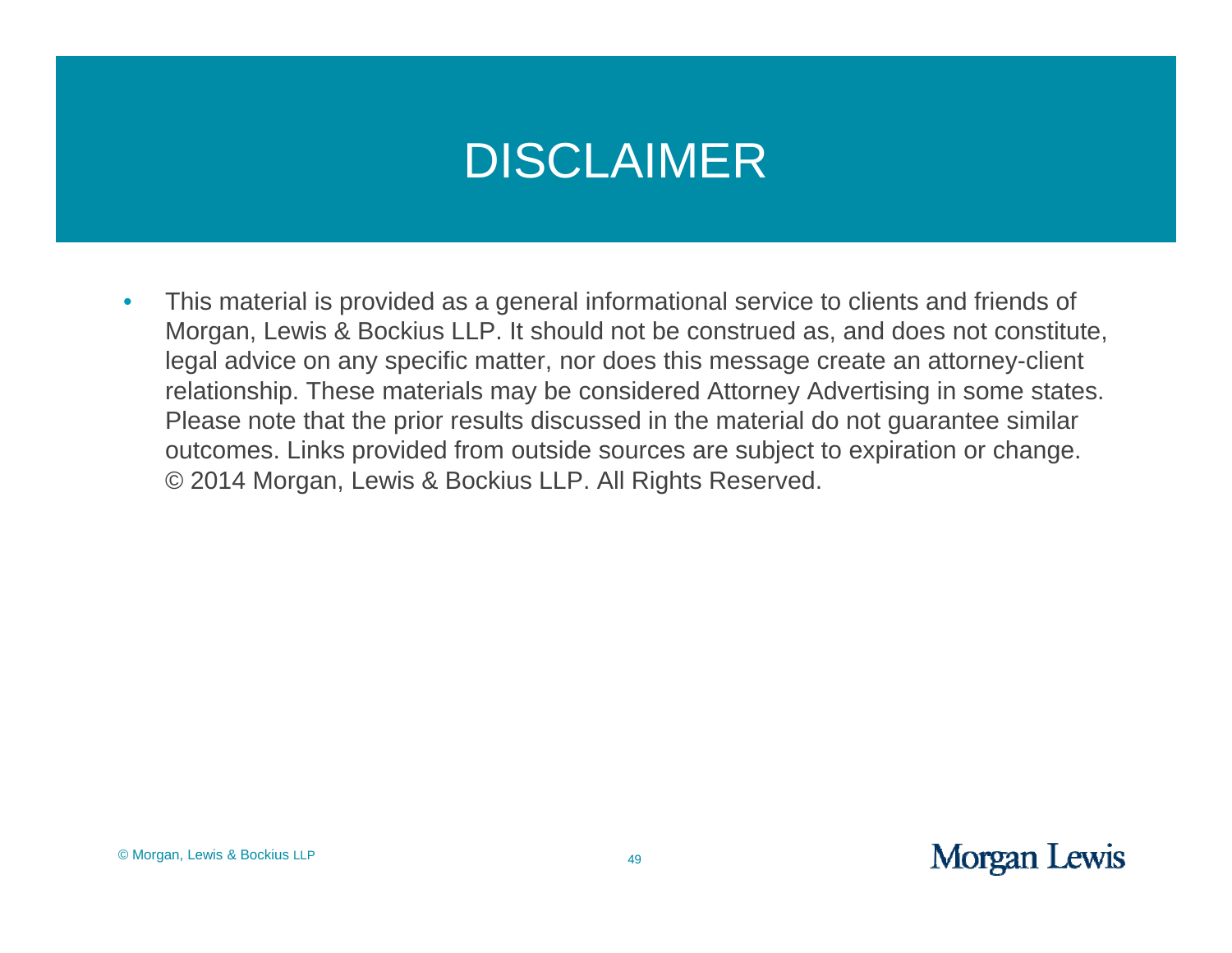## DISCLAIMER

 $\bullet$ This material is provided as a general informational service to clients and friends of Morgan, Lewis & Bockius LLP. It should not be construed as, and does not constitute, legal advice on any specific matter, nor does this message create an attorney-client relationship. These materials may be considered Attorney Advertising in some states. Please note that the prior results discussed in the material do not guarantee similar outcomes. Links provided from outside sources are subject to expiration or change. © 2014 Morgan, Lewis & Bockius LLP. All Rights Reserved.